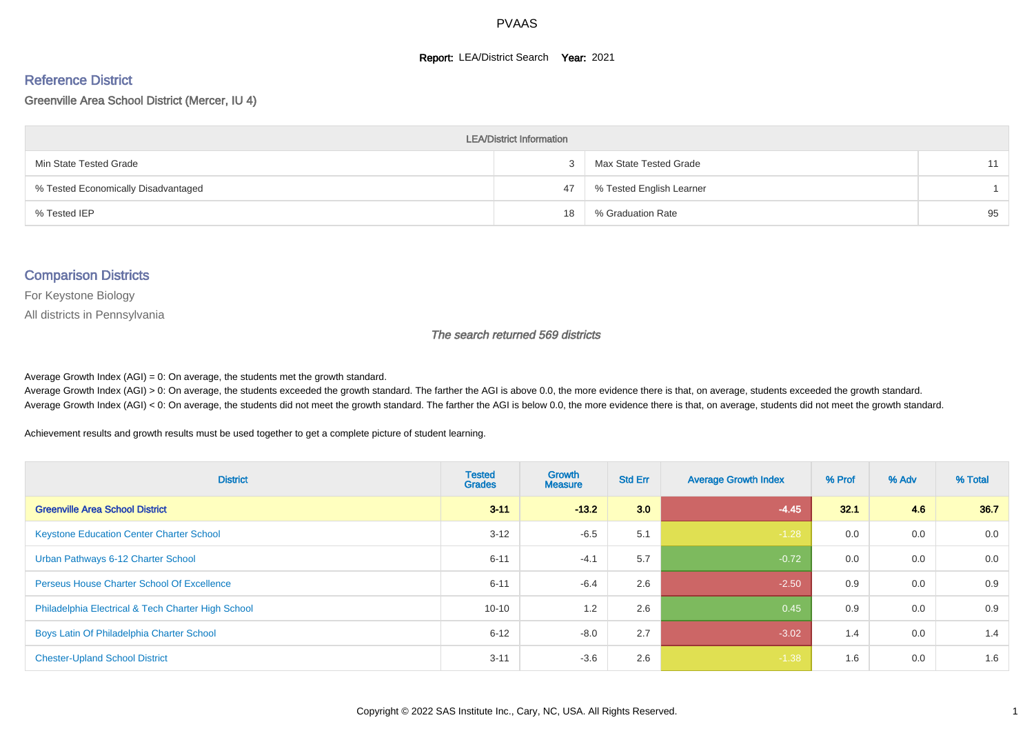#### **Report: LEA/District Search Year: 2021**

#### Reference District

#### Greenville Area School District (Mercer, IU 4)

| <b>LEA/District Information</b>     |    |                          |    |  |  |  |  |  |  |  |
|-------------------------------------|----|--------------------------|----|--|--|--|--|--|--|--|
| Min State Tested Grade              |    | Max State Tested Grade   | 11 |  |  |  |  |  |  |  |
| % Tested Economically Disadvantaged | 47 | % Tested English Learner |    |  |  |  |  |  |  |  |
| % Tested IEP                        | 18 | % Graduation Rate        | 95 |  |  |  |  |  |  |  |

#### Comparison Districts

For Keystone Biology

All districts in Pennsylvania

The search returned 569 districts

Average Growth Index  $(AGI) = 0$ : On average, the students met the growth standard.

Average Growth Index (AGI) > 0: On average, the students exceeded the growth standard. The farther the AGI is above 0.0, the more evidence there is that, on average, students exceeded the growth standard. Average Growth Index (AGI) < 0: On average, the students did not meet the growth standard. The farther the AGI is below 0.0, the more evidence there is that, on average, students did not meet the growth standard.

Achievement results and growth results must be used together to get a complete picture of student learning.

| <b>District</b>                                    | <b>Tested</b><br><b>Grades</b> | <b>Growth</b><br><b>Measure</b> | <b>Std Err</b> | <b>Average Growth Index</b> | % Prof | % Adv | % Total |
|----------------------------------------------------|--------------------------------|---------------------------------|----------------|-----------------------------|--------|-------|---------|
| <b>Greenville Area School District</b>             | $3 - 11$                       | $-13.2$                         | 3.0            | $-4.45$                     | 321    | 4.6   | 36.7    |
| <b>Keystone Education Center Charter School</b>    | $3 - 12$                       | $-6.5$                          | 5.1            | $-1.28$                     | 0.0    | 0.0   | 0.0     |
| Urban Pathways 6-12 Charter School                 | $6 - 11$                       | $-4.1$                          | 5.7            | $-0.72$                     | 0.0    | 0.0   | 0.0     |
| <b>Perseus House Charter School Of Excellence</b>  | $6 - 11$                       | $-6.4$                          | 2.6            | $-2.50$                     | 0.9    | 0.0   | 0.9     |
| Philadelphia Electrical & Tech Charter High School | $10 - 10$                      | 1.2                             | 2.6            | 0.45                        | 0.9    | 0.0   | 0.9     |
| Boys Latin Of Philadelphia Charter School          | $6 - 12$                       | $-8.0$                          | 2.7            | $-3.02$                     | 1.4    | 0.0   | 1.4     |
| <b>Chester-Upland School District</b>              | $3 - 11$                       | $-3.6$                          | 2.6            | $-1.38$                     | 1.6    | 0.0   | 1.6     |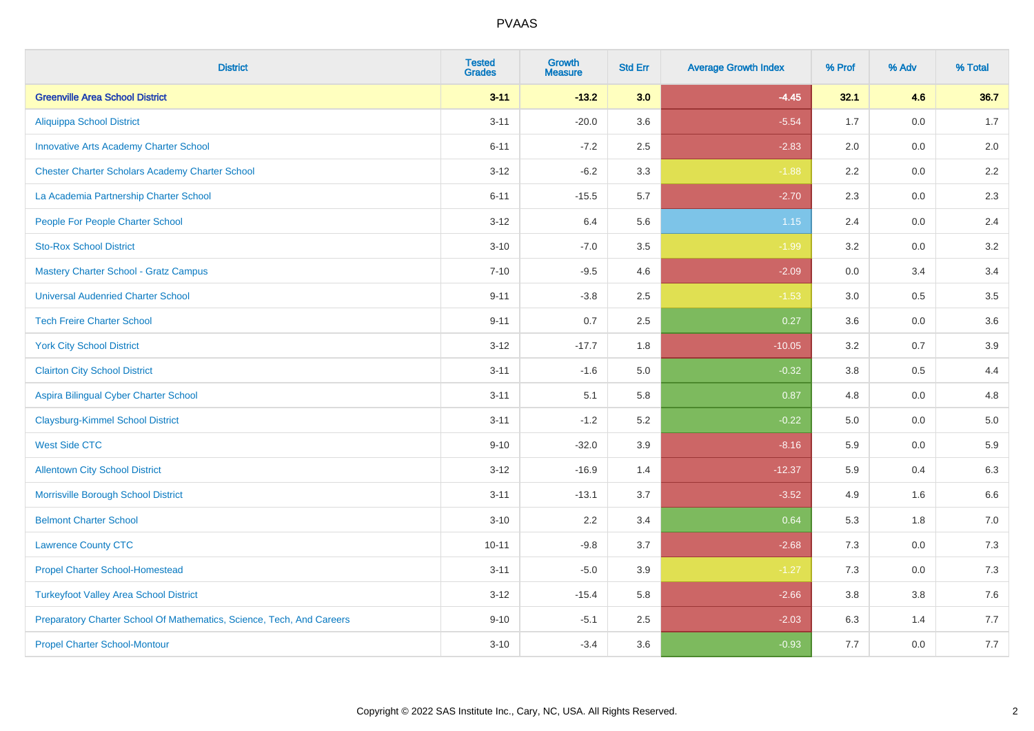| <b>District</b>                                                       | <b>Tested</b><br><b>Grades</b> | <b>Growth</b><br><b>Measure</b> | <b>Std Err</b> | <b>Average Growth Index</b> | % Prof | % Adv | % Total |
|-----------------------------------------------------------------------|--------------------------------|---------------------------------|----------------|-----------------------------|--------|-------|---------|
| <b>Greenville Area School District</b>                                | $3 - 11$                       | $-13.2$                         | 3.0            | $-4.45$                     | 32.1   | 4.6   | 36.7    |
| <b>Aliquippa School District</b>                                      | $3 - 11$                       | $-20.0$                         | 3.6            | $-5.54$                     | 1.7    | 0.0   | 1.7     |
| <b>Innovative Arts Academy Charter School</b>                         | $6 - 11$                       | $-7.2$                          | 2.5            | $-2.83$                     | 2.0    | 0.0   | 2.0     |
| <b>Chester Charter Scholars Academy Charter School</b>                | $3 - 12$                       | $-6.2$                          | 3.3            | $-1.88$                     | 2.2    | 0.0   | 2.2     |
| La Academia Partnership Charter School                                | $6 - 11$                       | $-15.5$                         | 5.7            | $-2.70$                     | 2.3    | 0.0   | $2.3\,$ |
| People For People Charter School                                      | $3 - 12$                       | 6.4                             | 5.6            | $1.15$                      | 2.4    | 0.0   | 2.4     |
| <b>Sto-Rox School District</b>                                        | $3 - 10$                       | $-7.0$                          | $3.5\,$        | $-1.99$                     | 3.2    | 0.0   | $3.2\,$ |
| <b>Mastery Charter School - Gratz Campus</b>                          | $7 - 10$                       | $-9.5$                          | 4.6            | $-2.09$                     | 0.0    | 3.4   | 3.4     |
| <b>Universal Audenried Charter School</b>                             | $9 - 11$                       | $-3.8$                          | 2.5            | $-1.53$                     | 3.0    | 0.5   | 3.5     |
| <b>Tech Freire Charter School</b>                                     | $9 - 11$                       | 0.7                             | 2.5            | 0.27                        | 3.6    | 0.0   | 3.6     |
| <b>York City School District</b>                                      | $3 - 12$                       | $-17.7$                         | 1.8            | $-10.05$                    | 3.2    | 0.7   | 3.9     |
| <b>Clairton City School District</b>                                  | $3 - 11$                       | $-1.6$                          | 5.0            | $-0.32$                     | 3.8    | 0.5   | 4.4     |
| Aspira Bilingual Cyber Charter School                                 | $3 - 11$                       | 5.1                             | 5.8            | 0.87                        | 4.8    | 0.0   | 4.8     |
| <b>Claysburg-Kimmel School District</b>                               | $3 - 11$                       | $-1.2$                          | 5.2            | $-0.22$                     | 5.0    | 0.0   | $5.0\,$ |
| <b>West Side CTC</b>                                                  | $9 - 10$                       | $-32.0$                         | 3.9            | $-8.16$                     | 5.9    | 0.0   | 5.9     |
| <b>Allentown City School District</b>                                 | $3 - 12$                       | $-16.9$                         | 1.4            | $-12.37$                    | 5.9    | 0.4   | 6.3     |
| Morrisville Borough School District                                   | $3 - 11$                       | $-13.1$                         | 3.7            | $-3.52$                     | 4.9    | 1.6   | 6.6     |
| <b>Belmont Charter School</b>                                         | $3 - 10$                       | 2.2                             | 3.4            | 0.64                        | 5.3    | 1.8   | $7.0\,$ |
| <b>Lawrence County CTC</b>                                            | $10 - 11$                      | $-9.8$                          | 3.7            | $-2.68$                     | 7.3    | 0.0   | 7.3     |
| <b>Propel Charter School-Homestead</b>                                | $3 - 11$                       | $-5.0$                          | 3.9            | $-1.27$                     | 7.3    | 0.0   | $7.3$   |
| <b>Turkeyfoot Valley Area School District</b>                         | $3 - 12$                       | $-15.4$                         | 5.8            | $-2.66$                     | 3.8    | 3.8   | $7.6\,$ |
| Preparatory Charter School Of Mathematics, Science, Tech, And Careers | $9 - 10$                       | $-5.1$                          | 2.5            | $-2.03$                     | 6.3    | 1.4   | 7.7     |
| <b>Propel Charter School-Montour</b>                                  | $3 - 10$                       | $-3.4$                          | 3.6            | $-0.93$                     | 7.7    | 0.0   | $7.7$   |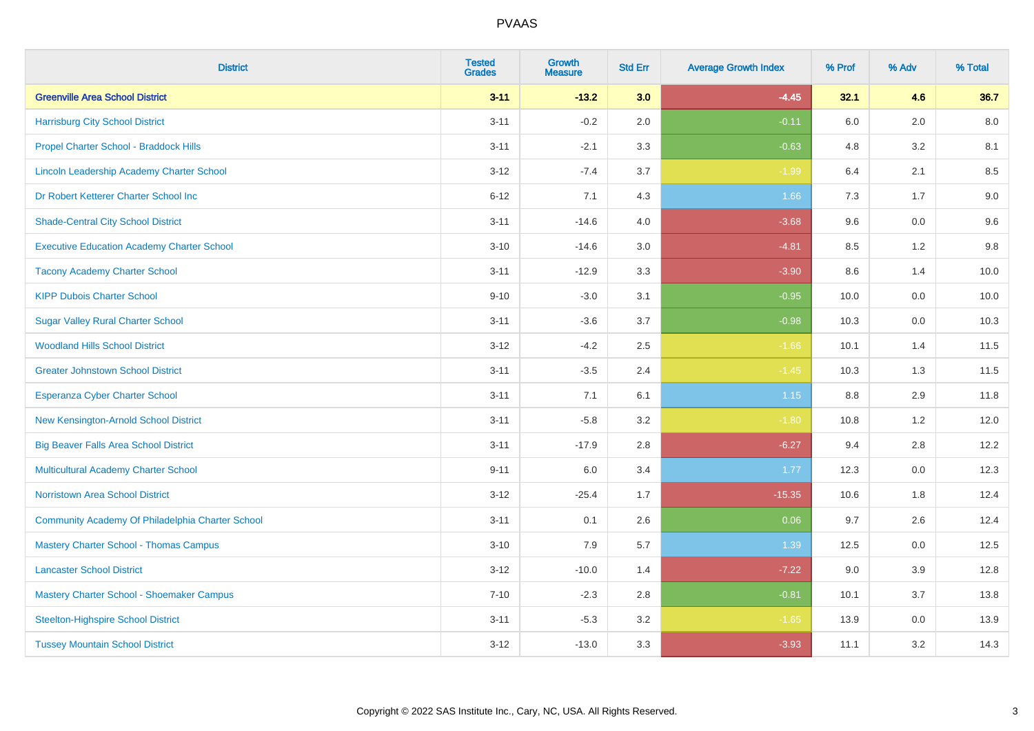| <b>District</b>                                   | <b>Tested</b><br><b>Grades</b> | <b>Growth</b><br><b>Measure</b> | <b>Std Err</b> | <b>Average Growth Index</b> | % Prof  | % Adv   | % Total |
|---------------------------------------------------|--------------------------------|---------------------------------|----------------|-----------------------------|---------|---------|---------|
| <b>Greenville Area School District</b>            | $3 - 11$                       | $-13.2$                         | 3.0            | $-4.45$                     | 32.1    | 4.6     | 36.7    |
| <b>Harrisburg City School District</b>            | $3 - 11$                       | $-0.2$                          | 2.0            | $-0.11$                     | 6.0     | 2.0     | 8.0     |
| Propel Charter School - Braddock Hills            | $3 - 11$                       | $-2.1$                          | 3.3            | $-0.63$                     | 4.8     | 3.2     | 8.1     |
| Lincoln Leadership Academy Charter School         | $3 - 12$                       | $-7.4$                          | 3.7            | $-1.99$                     | 6.4     | 2.1     | 8.5     |
| Dr Robert Ketterer Charter School Inc             | $6 - 12$                       | 7.1                             | 4.3            | 1.66                        | 7.3     | 1.7     | 9.0     |
| <b>Shade-Central City School District</b>         | $3 - 11$                       | $-14.6$                         | 4.0            | $-3.68$                     | 9.6     | 0.0     | 9.6     |
| <b>Executive Education Academy Charter School</b> | $3 - 10$                       | $-14.6$                         | 3.0            | $-4.81$                     | 8.5     | 1.2     | 9.8     |
| <b>Tacony Academy Charter School</b>              | $3 - 11$                       | $-12.9$                         | 3.3            | $-3.90$                     | 8.6     | 1.4     | 10.0    |
| <b>KIPP Dubois Charter School</b>                 | $9 - 10$                       | $-3.0$                          | 3.1            | $-0.95$                     | 10.0    | 0.0     | 10.0    |
| <b>Sugar Valley Rural Charter School</b>          | $3 - 11$                       | $-3.6$                          | 3.7            | $-0.98$                     | 10.3    | 0.0     | 10.3    |
| <b>Woodland Hills School District</b>             | $3 - 12$                       | $-4.2$                          | 2.5            | $-1.66$                     | 10.1    | 1.4     | 11.5    |
| <b>Greater Johnstown School District</b>          | $3 - 11$                       | $-3.5$                          | 2.4            | $-1.45$                     | 10.3    | 1.3     | 11.5    |
| <b>Esperanza Cyber Charter School</b>             | $3 - 11$                       | 7.1                             | 6.1            | 1.15                        | $8.8\,$ | $2.9\,$ | 11.8    |
| New Kensington-Arnold School District             | $3 - 11$                       | $-5.8$                          | 3.2            | $-1.80$                     | 10.8    | 1.2     | 12.0    |
| <b>Big Beaver Falls Area School District</b>      | $3 - 11$                       | $-17.9$                         | 2.8            | $-6.27$                     | 9.4     | 2.8     | 12.2    |
| <b>Multicultural Academy Charter School</b>       | $9 - 11$                       | 6.0                             | 3.4            | 1.77                        | 12.3    | $0.0\,$ | 12.3    |
| <b>Norristown Area School District</b>            | $3 - 12$                       | $-25.4$                         | 1.7            | $-15.35$                    | 10.6    | 1.8     | 12.4    |
| Community Academy Of Philadelphia Charter School  | $3 - 11$                       | 0.1                             | 2.6            | 0.06                        | 9.7     | 2.6     | 12.4    |
| <b>Mastery Charter School - Thomas Campus</b>     | $3 - 10$                       | 7.9                             | 5.7            | 1.39                        | 12.5    | 0.0     | 12.5    |
| <b>Lancaster School District</b>                  | $3 - 12$                       | $-10.0$                         | 1.4            | $-7.22$                     | 9.0     | 3.9     | 12.8    |
| Mastery Charter School - Shoemaker Campus         | $7 - 10$                       | $-2.3$                          | 2.8            | $-0.81$                     | 10.1    | 3.7     | 13.8    |
| <b>Steelton-Highspire School District</b>         | $3 - 11$                       | $-5.3$                          | 3.2            | $-1.65$                     | 13.9    | 0.0     | 13.9    |
| <b>Tussey Mountain School District</b>            | $3 - 12$                       | $-13.0$                         | 3.3            | $-3.93$                     | 11.1    | 3.2     | 14.3    |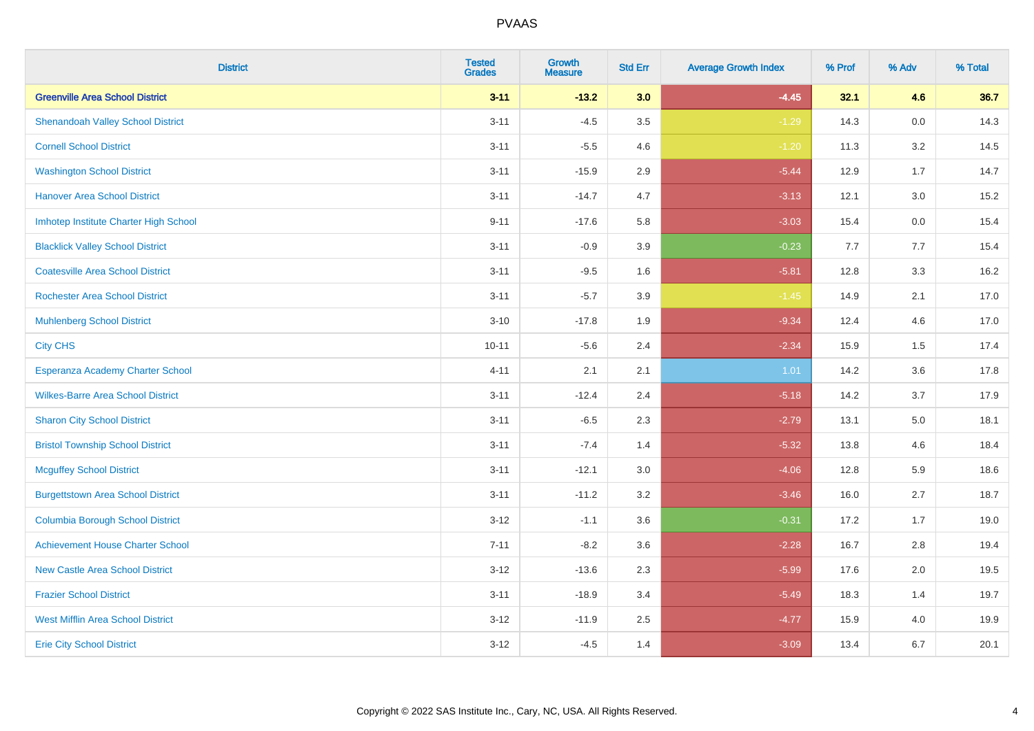| <b>District</b>                          | <b>Tested</b><br><b>Grades</b> | <b>Growth</b><br><b>Measure</b> | <b>Std Err</b> | <b>Average Growth Index</b> | % Prof | % Adv   | % Total |
|------------------------------------------|--------------------------------|---------------------------------|----------------|-----------------------------|--------|---------|---------|
| <b>Greenville Area School District</b>   | $3 - 11$                       | $-13.2$                         | 3.0            | $-4.45$                     | 32.1   | 4.6     | 36.7    |
| <b>Shenandoah Valley School District</b> | $3 - 11$                       | $-4.5$                          | 3.5            | $-1.29$                     | 14.3   | $0.0\,$ | 14.3    |
| <b>Cornell School District</b>           | $3 - 11$                       | $-5.5$                          | 4.6            | $-1.20$                     | 11.3   | 3.2     | 14.5    |
| <b>Washington School District</b>        | $3 - 11$                       | $-15.9$                         | 2.9            | $-5.44$                     | 12.9   | 1.7     | 14.7    |
| <b>Hanover Area School District</b>      | $3 - 11$                       | $-14.7$                         | 4.7            | $-3.13$                     | 12.1   | 3.0     | 15.2    |
| Imhotep Institute Charter High School    | $9 - 11$                       | $-17.6$                         | 5.8            | $-3.03$                     | 15.4   | 0.0     | 15.4    |
| <b>Blacklick Valley School District</b>  | $3 - 11$                       | $-0.9$                          | 3.9            | $-0.23$                     | 7.7    | 7.7     | 15.4    |
| <b>Coatesville Area School District</b>  | $3 - 11$                       | $-9.5$                          | 1.6            | $-5.81$                     | 12.8   | 3.3     | 16.2    |
| <b>Rochester Area School District</b>    | $3 - 11$                       | $-5.7$                          | 3.9            | $-1.45$                     | 14.9   | 2.1     | 17.0    |
| <b>Muhlenberg School District</b>        | $3 - 10$                       | $-17.8$                         | 1.9            | $-9.34$                     | 12.4   | 4.6     | 17.0    |
| <b>City CHS</b>                          | $10 - 11$                      | $-5.6$                          | 2.4            | $-2.34$                     | 15.9   | 1.5     | 17.4    |
| Esperanza Academy Charter School         | $4 - 11$                       | 2.1                             | 2.1            | 1.01                        | 14.2   | 3.6     | 17.8    |
| <b>Wilkes-Barre Area School District</b> | $3 - 11$                       | $-12.4$                         | 2.4            | $-5.18$                     | 14.2   | 3.7     | 17.9    |
| <b>Sharon City School District</b>       | $3 - 11$                       | $-6.5$                          | 2.3            | $-2.79$                     | 13.1   | $5.0\,$ | 18.1    |
| <b>Bristol Township School District</b>  | $3 - 11$                       | $-7.4$                          | 1.4            | $-5.32$                     | 13.8   | 4.6     | 18.4    |
| <b>Mcguffey School District</b>          | $3 - 11$                       | $-12.1$                         | 3.0            | $-4.06$                     | 12.8   | 5.9     | 18.6    |
| <b>Burgettstown Area School District</b> | $3 - 11$                       | $-11.2$                         | 3.2            | $-3.46$                     | 16.0   | 2.7     | 18.7    |
| <b>Columbia Borough School District</b>  | $3 - 12$                       | $-1.1$                          | 3.6            | $-0.31$                     | 17.2   | 1.7     | 19.0    |
| <b>Achievement House Charter School</b>  | $7 - 11$                       | $-8.2$                          | 3.6            | $-2.28$                     | 16.7   | 2.8     | 19.4    |
| <b>New Castle Area School District</b>   | $3 - 12$                       | $-13.6$                         | 2.3            | $-5.99$                     | 17.6   | 2.0     | 19.5    |
| <b>Frazier School District</b>           | $3 - 11$                       | $-18.9$                         | 3.4            | $-5.49$                     | 18.3   | 1.4     | 19.7    |
| <b>West Mifflin Area School District</b> | $3 - 12$                       | $-11.9$                         | 2.5            | $-4.77$                     | 15.9   | 4.0     | 19.9    |
| <b>Erie City School District</b>         | $3 - 12$                       | $-4.5$                          | 1.4            | $-3.09$                     | 13.4   | 6.7     | 20.1    |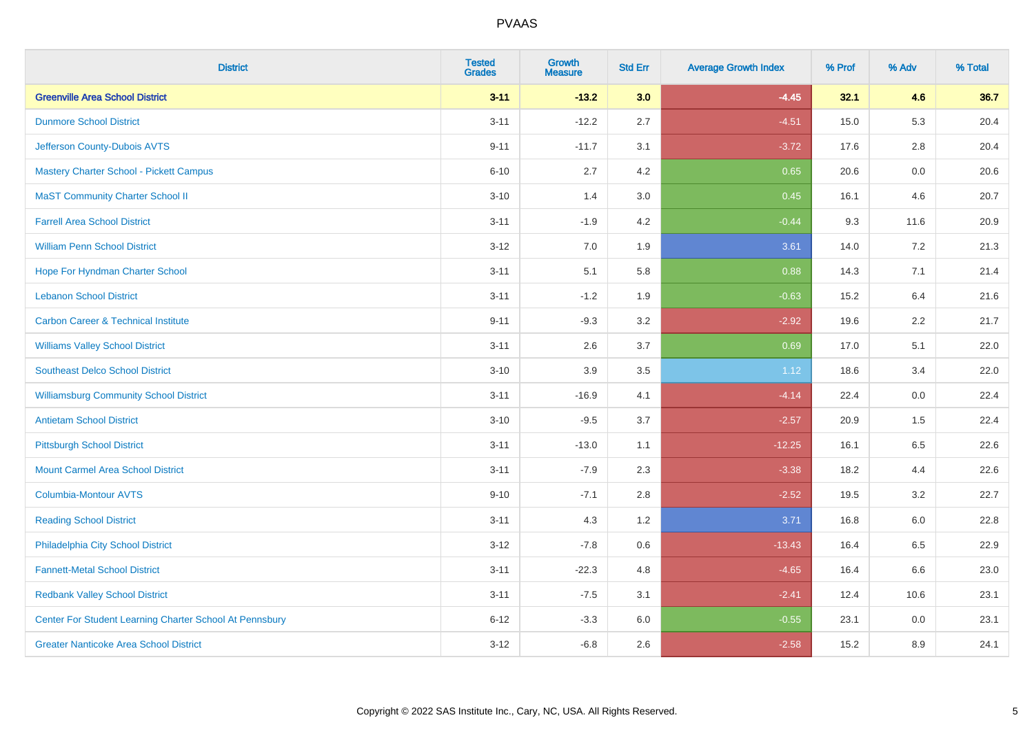| <b>District</b>                                         | <b>Tested</b><br><b>Grades</b> | <b>Growth</b><br><b>Measure</b> | <b>Std Err</b> | <b>Average Growth Index</b> | % Prof | % Adv   | % Total |
|---------------------------------------------------------|--------------------------------|---------------------------------|----------------|-----------------------------|--------|---------|---------|
| <b>Greenville Area School District</b>                  | $3 - 11$                       | $-13.2$                         | 3.0            | $-4.45$                     | 32.1   | 4.6     | 36.7    |
| <b>Dunmore School District</b>                          | $3 - 11$                       | $-12.2$                         | 2.7            | $-4.51$                     | 15.0   | 5.3     | 20.4    |
| Jefferson County-Dubois AVTS                            | $9 - 11$                       | $-11.7$                         | 3.1            | $-3.72$                     | 17.6   | 2.8     | 20.4    |
| <b>Mastery Charter School - Pickett Campus</b>          | $6 - 10$                       | 2.7                             | 4.2            | 0.65                        | 20.6   | $0.0\,$ | 20.6    |
| <b>MaST Community Charter School II</b>                 | $3 - 10$                       | 1.4                             | 3.0            | 0.45                        | 16.1   | 4.6     | 20.7    |
| <b>Farrell Area School District</b>                     | $3 - 11$                       | $-1.9$                          | 4.2            | $-0.44$                     | 9.3    | 11.6    | 20.9    |
| <b>William Penn School District</b>                     | $3 - 12$                       | 7.0                             | 1.9            | 3.61                        | 14.0   | 7.2     | 21.3    |
| Hope For Hyndman Charter School                         | $3 - 11$                       | 5.1                             | 5.8            | 0.88                        | 14.3   | 7.1     | 21.4    |
| <b>Lebanon School District</b>                          | $3 - 11$                       | $-1.2$                          | 1.9            | $-0.63$                     | 15.2   | 6.4     | 21.6    |
| <b>Carbon Career &amp; Technical Institute</b>          | $9 - 11$                       | $-9.3$                          | 3.2            | $-2.92$                     | 19.6   | 2.2     | 21.7    |
| <b>Williams Valley School District</b>                  | $3 - 11$                       | 2.6                             | 3.7            | 0.69                        | 17.0   | 5.1     | 22.0    |
| <b>Southeast Delco School District</b>                  | $3 - 10$                       | 3.9                             | 3.5            | 1.12                        | 18.6   | 3.4     | 22.0    |
| <b>Williamsburg Community School District</b>           | $3 - 11$                       | $-16.9$                         | 4.1            | $-4.14$                     | 22.4   | $0.0\,$ | 22.4    |
| <b>Antietam School District</b>                         | $3 - 10$                       | $-9.5$                          | 3.7            | $-2.57$                     | 20.9   | 1.5     | 22.4    |
| <b>Pittsburgh School District</b>                       | $3 - 11$                       | $-13.0$                         | 1.1            | $-12.25$                    | 16.1   | 6.5     | 22.6    |
| <b>Mount Carmel Area School District</b>                | $3 - 11$                       | $-7.9$                          | 2.3            | $-3.38$                     | 18.2   | 4.4     | 22.6    |
| <b>Columbia-Montour AVTS</b>                            | $9 - 10$                       | $-7.1$                          | 2.8            | $-2.52$                     | 19.5   | 3.2     | 22.7    |
| <b>Reading School District</b>                          | $3 - 11$                       | 4.3                             | 1.2            | 3.71                        | 16.8   | 6.0     | 22.8    |
| Philadelphia City School District                       | $3 - 12$                       | $-7.8$                          | 0.6            | $-13.43$                    | 16.4   | 6.5     | 22.9    |
| <b>Fannett-Metal School District</b>                    | $3 - 11$                       | $-22.3$                         | 4.8            | $-4.65$                     | 16.4   | 6.6     | 23.0    |
| <b>Redbank Valley School District</b>                   | $3 - 11$                       | $-7.5$                          | 3.1            | $-2.41$                     | 12.4   | 10.6    | 23.1    |
| Center For Student Learning Charter School At Pennsbury | $6 - 12$                       | $-3.3$                          | 6.0            | $-0.55$                     | 23.1   | 0.0     | 23.1    |
| <b>Greater Nanticoke Area School District</b>           | $3 - 12$                       | $-6.8$                          | 2.6            | $-2.58$                     | 15.2   | 8.9     | 24.1    |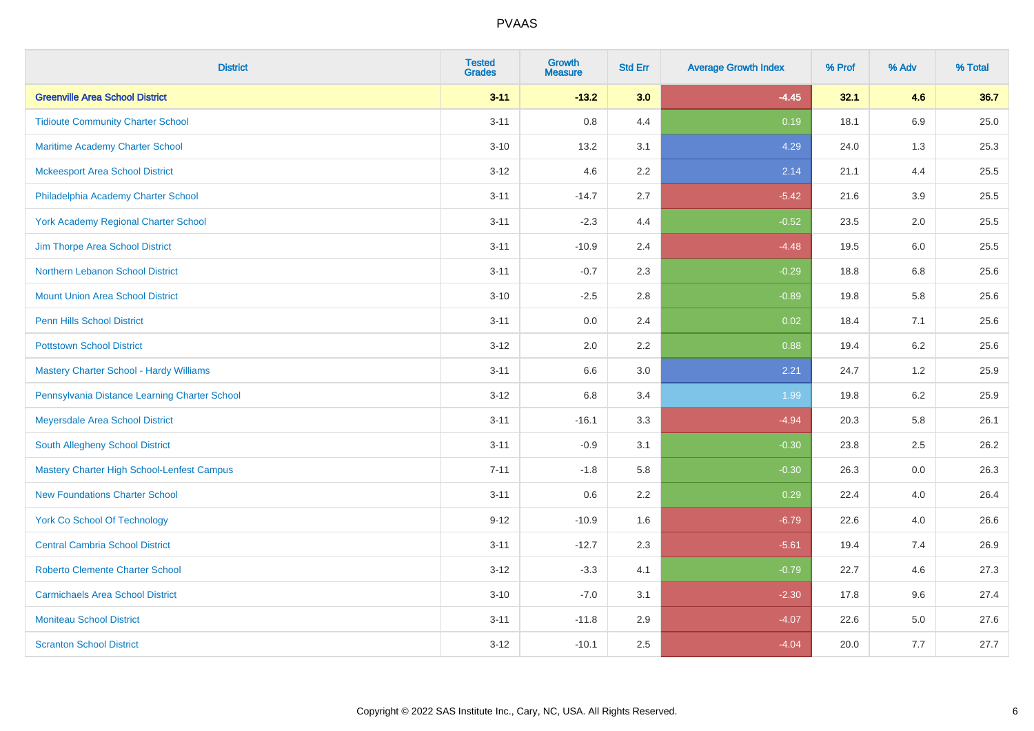| <b>District</b>                                   | <b>Tested</b><br><b>Grades</b> | <b>Growth</b><br><b>Measure</b> | <b>Std Err</b> | <b>Average Growth Index</b> | % Prof | % Adv   | % Total |
|---------------------------------------------------|--------------------------------|---------------------------------|----------------|-----------------------------|--------|---------|---------|
| <b>Greenville Area School District</b>            | $3 - 11$                       | $-13.2$                         | 3.0            | $-4.45$                     | 32.1   | 4.6     | 36.7    |
| <b>Tidioute Community Charter School</b>          | $3 - 11$                       | 0.8                             | 4.4            | 0.19                        | 18.1   | $6.9\,$ | 25.0    |
| <b>Maritime Academy Charter School</b>            | $3 - 10$                       | 13.2                            | 3.1            | 4.29                        | 24.0   | 1.3     | 25.3    |
| <b>Mckeesport Area School District</b>            | $3 - 12$                       | 4.6                             | 2.2            | 2.14                        | 21.1   | 4.4     | 25.5    |
| Philadelphia Academy Charter School               | $3 - 11$                       | $-14.7$                         | 2.7            | $-5.42$                     | 21.6   | 3.9     | 25.5    |
| <b>York Academy Regional Charter School</b>       | $3 - 11$                       | $-2.3$                          | 4.4            | $-0.52$                     | 23.5   | 2.0     | 25.5    |
| Jim Thorpe Area School District                   | $3 - 11$                       | $-10.9$                         | 2.4            | $-4.48$                     | 19.5   | 6.0     | 25.5    |
| Northern Lebanon School District                  | $3 - 11$                       | $-0.7$                          | 2.3            | $-0.29$                     | 18.8   | 6.8     | 25.6    |
| <b>Mount Union Area School District</b>           | $3 - 10$                       | $-2.5$                          | 2.8            | $-0.89$                     | 19.8   | 5.8     | 25.6    |
| <b>Penn Hills School District</b>                 | $3 - 11$                       | 0.0                             | 2.4            | 0.02                        | 18.4   | 7.1     | 25.6    |
| <b>Pottstown School District</b>                  | $3 - 12$                       | 2.0                             | 2.2            | 0.88                        | 19.4   | 6.2     | 25.6    |
| Mastery Charter School - Hardy Williams           | $3 - 11$                       | 6.6                             | 3.0            | 2.21                        | 24.7   | 1.2     | 25.9    |
| Pennsylvania Distance Learning Charter School     | $3 - 12$                       | $6.8\,$                         | 3.4            | 1.99                        | 19.8   | $6.2\,$ | 25.9    |
| Meyersdale Area School District                   | $3 - 11$                       | $-16.1$                         | 3.3            | $-4.94$                     | 20.3   | 5.8     | 26.1    |
| South Allegheny School District                   | $3 - 11$                       | $-0.9$                          | 3.1            | $-0.30$                     | 23.8   | 2.5     | 26.2    |
| <b>Mastery Charter High School-Lenfest Campus</b> | $7 - 11$                       | $-1.8$                          | 5.8            | $-0.30$                     | 26.3   | $0.0\,$ | 26.3    |
| <b>New Foundations Charter School</b>             | $3 - 11$                       | 0.6                             | 2.2            | 0.29                        | 22.4   | 4.0     | 26.4    |
| <b>York Co School Of Technology</b>               | $9 - 12$                       | $-10.9$                         | 1.6            | $-6.79$                     | 22.6   | 4.0     | 26.6    |
| <b>Central Cambria School District</b>            | $3 - 11$                       | $-12.7$                         | 2.3            | $-5.61$                     | 19.4   | 7.4     | 26.9    |
| <b>Roberto Clemente Charter School</b>            | $3 - 12$                       | $-3.3$                          | 4.1            | $-0.79$                     | 22.7   | 4.6     | 27.3    |
| <b>Carmichaels Area School District</b>           | $3 - 10$                       | $-7.0$                          | 3.1            | $-2.30$                     | 17.8   | 9.6     | 27.4    |
| <b>Moniteau School District</b>                   | $3 - 11$                       | $-11.8$                         | 2.9            | $-4.07$                     | 22.6   | 5.0     | 27.6    |
| <b>Scranton School District</b>                   | $3 - 12$                       | $-10.1$                         | 2.5            | $-4.04$                     | 20.0   | 7.7     | 27.7    |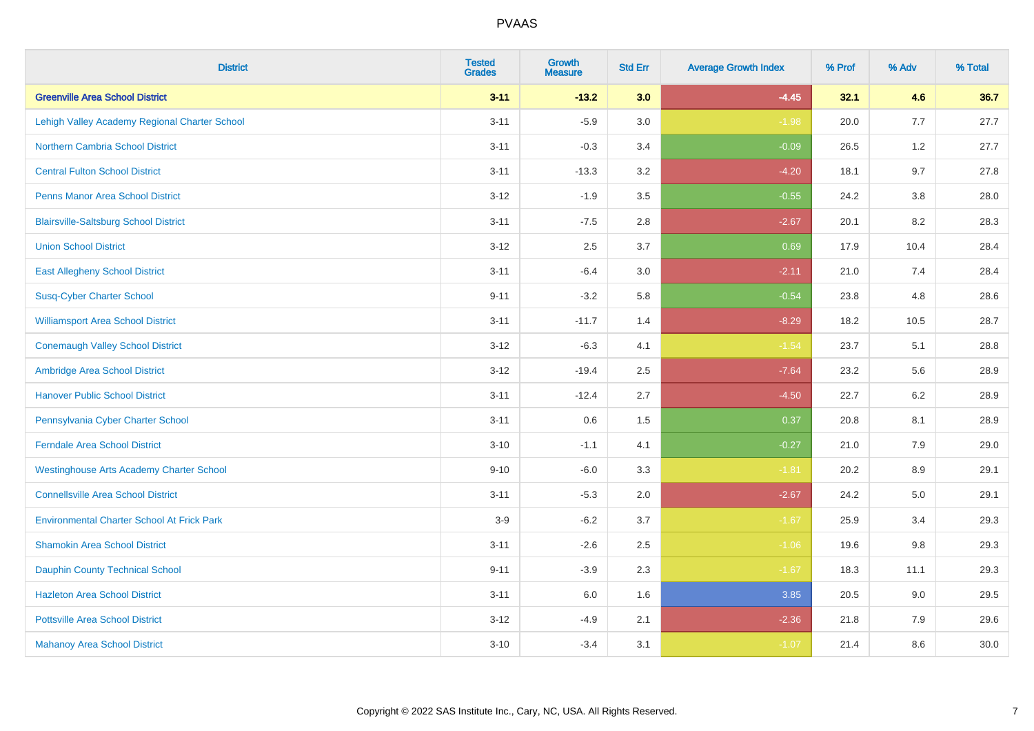| <b>District</b>                                   | <b>Tested</b><br><b>Grades</b> | <b>Growth</b><br><b>Measure</b> | <b>Std Err</b> | <b>Average Growth Index</b> | % Prof | % Adv   | % Total |
|---------------------------------------------------|--------------------------------|---------------------------------|----------------|-----------------------------|--------|---------|---------|
| <b>Greenville Area School District</b>            | $3 - 11$                       | $-13.2$                         | 3.0            | $-4.45$                     | 32.1   | 4.6     | 36.7    |
| Lehigh Valley Academy Regional Charter School     | $3 - 11$                       | $-5.9$                          | 3.0            | $-1.98$                     | 20.0   | 7.7     | 27.7    |
| <b>Northern Cambria School District</b>           | $3 - 11$                       | $-0.3$                          | 3.4            | $-0.09$                     | 26.5   | 1.2     | 27.7    |
| <b>Central Fulton School District</b>             | $3 - 11$                       | $-13.3$                         | 3.2            | $-4.20$                     | 18.1   | 9.7     | 27.8    |
| <b>Penns Manor Area School District</b>           | $3 - 12$                       | $-1.9$                          | 3.5            | $-0.55$                     | 24.2   | 3.8     | 28.0    |
| <b>Blairsville-Saltsburg School District</b>      | $3 - 11$                       | $-7.5$                          | 2.8            | $-2.67$                     | 20.1   | 8.2     | 28.3    |
| <b>Union School District</b>                      | $3 - 12$                       | 2.5                             | 3.7            | 0.69                        | 17.9   | 10.4    | 28.4    |
| <b>East Allegheny School District</b>             | $3 - 11$                       | $-6.4$                          | 3.0            | $-2.11$                     | 21.0   | 7.4     | 28.4    |
| <b>Susq-Cyber Charter School</b>                  | $9 - 11$                       | $-3.2$                          | 5.8            | $-0.54$                     | 23.8   | 4.8     | 28.6    |
| <b>Williamsport Area School District</b>          | $3 - 11$                       | $-11.7$                         | 1.4            | $-8.29$                     | 18.2   | 10.5    | 28.7    |
| <b>Conemaugh Valley School District</b>           | $3 - 12$                       | $-6.3$                          | 4.1            | $-1.54$                     | 23.7   | 5.1     | 28.8    |
| Ambridge Area School District                     | $3 - 12$                       | $-19.4$                         | 2.5            | $-7.64$                     | 23.2   | 5.6     | 28.9    |
| <b>Hanover Public School District</b>             | $3 - 11$                       | $-12.4$                         | 2.7            | $-4.50$                     | 22.7   | $6.2\,$ | 28.9    |
| Pennsylvania Cyber Charter School                 | $3 - 11$                       | 0.6                             | 1.5            | 0.37                        | 20.8   | 8.1     | 28.9    |
| <b>Ferndale Area School District</b>              | $3 - 10$                       | $-1.1$                          | 4.1            | $-0.27$                     | 21.0   | 7.9     | 29.0    |
| <b>Westinghouse Arts Academy Charter School</b>   | $9 - 10$                       | $-6.0$                          | 3.3            | $-1.81$                     | 20.2   | 8.9     | 29.1    |
| <b>Connellsville Area School District</b>         | $3 - 11$                       | $-5.3$                          | 2.0            | $-2.67$                     | 24.2   | 5.0     | 29.1    |
| <b>Environmental Charter School At Frick Park</b> | $3-9$                          | $-6.2$                          | 3.7            | $-1.67$                     | 25.9   | 3.4     | 29.3    |
| <b>Shamokin Area School District</b>              | $3 - 11$                       | $-2.6$                          | 2.5            | $-1.06$                     | 19.6   | 9.8     | 29.3    |
| <b>Dauphin County Technical School</b>            | $9 - 11$                       | $-3.9$                          | 2.3            | $-1.67$                     | 18.3   | 11.1    | 29.3    |
| <b>Hazleton Area School District</b>              | $3 - 11$                       | 6.0                             | 1.6            | 3.85                        | 20.5   | 9.0     | 29.5    |
| <b>Pottsville Area School District</b>            | $3 - 12$                       | $-4.9$                          | 2.1            | $-2.36$                     | 21.8   | 7.9     | 29.6    |
| <b>Mahanoy Area School District</b>               | $3 - 10$                       | $-3.4$                          | 3.1            | $-1.07$                     | 21.4   | 8.6     | 30.0    |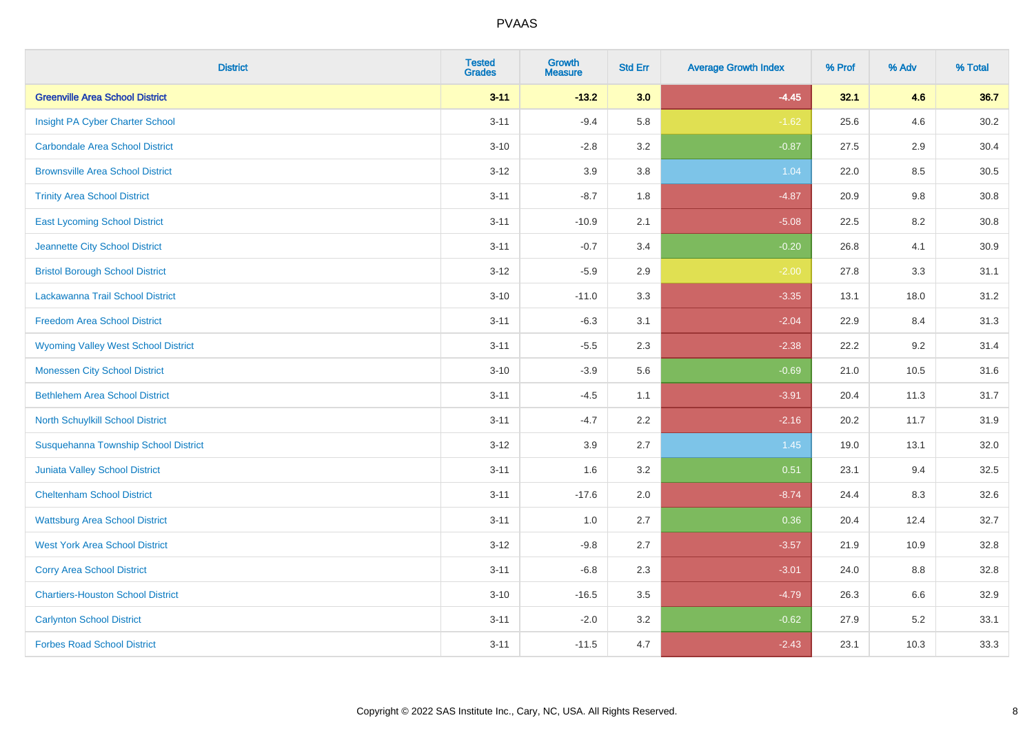| <b>District</b>                             | <b>Tested</b><br><b>Grades</b> | <b>Growth</b><br><b>Measure</b> | <b>Std Err</b> | <b>Average Growth Index</b> | % Prof | % Adv   | % Total  |
|---------------------------------------------|--------------------------------|---------------------------------|----------------|-----------------------------|--------|---------|----------|
| <b>Greenville Area School District</b>      | $3 - 11$                       | $-13.2$                         | 3.0            | $-4.45$                     | 32.1   | 4.6     | 36.7     |
| Insight PA Cyber Charter School             | $3 - 11$                       | $-9.4$                          | 5.8            | $-1.62$                     | 25.6   | 4.6     | 30.2     |
| <b>Carbondale Area School District</b>      | $3 - 10$                       | $-2.8$                          | 3.2            | $-0.87$                     | 27.5   | 2.9     | 30.4     |
| <b>Brownsville Area School District</b>     | $3 - 12$                       | 3.9                             | 3.8            | 1.04                        | 22.0   | $8.5\,$ | $30.5\,$ |
| <b>Trinity Area School District</b>         | $3 - 11$                       | $-8.7$                          | 1.8            | $-4.87$                     | 20.9   | 9.8     | 30.8     |
| <b>East Lycoming School District</b>        | $3 - 11$                       | $-10.9$                         | 2.1            | $-5.08$                     | 22.5   | 8.2     | 30.8     |
| Jeannette City School District              | $3 - 11$                       | $-0.7$                          | 3.4            | $-0.20$                     | 26.8   | 4.1     | 30.9     |
| <b>Bristol Borough School District</b>      | $3 - 12$                       | $-5.9$                          | 2.9            | $-2.00$                     | 27.8   | 3.3     | 31.1     |
| Lackawanna Trail School District            | $3 - 10$                       | $-11.0$                         | 3.3            | $-3.35$                     | 13.1   | 18.0    | 31.2     |
| <b>Freedom Area School District</b>         | $3 - 11$                       | $-6.3$                          | 3.1            | $-2.04$                     | 22.9   | 8.4     | 31.3     |
| <b>Wyoming Valley West School District</b>  | $3 - 11$                       | $-5.5$                          | 2.3            | $-2.38$                     | 22.2   | 9.2     | 31.4     |
| <b>Monessen City School District</b>        | $3 - 10$                       | $-3.9$                          | 5.6            | $-0.69$                     | 21.0   | 10.5    | 31.6     |
| <b>Bethlehem Area School District</b>       | $3 - 11$                       | $-4.5$                          | 1.1            | $-3.91$                     | 20.4   | 11.3    | 31.7     |
| North Schuylkill School District            | $3 - 11$                       | $-4.7$                          | 2.2            | $-2.16$                     | 20.2   | 11.7    | 31.9     |
| <b>Susquehanna Township School District</b> | $3 - 12$                       | 3.9                             | 2.7            | 1.45                        | 19.0   | 13.1    | 32.0     |
| <b>Juniata Valley School District</b>       | $3 - 11$                       | 1.6                             | 3.2            | 0.51                        | 23.1   | 9.4     | 32.5     |
| <b>Cheltenham School District</b>           | $3 - 11$                       | $-17.6$                         | 2.0            | $-8.74$                     | 24.4   | 8.3     | 32.6     |
| <b>Wattsburg Area School District</b>       | $3 - 11$                       | 1.0                             | 2.7            | 0.36                        | 20.4   | 12.4    | 32.7     |
| <b>West York Area School District</b>       | $3 - 12$                       | $-9.8$                          | 2.7            | $-3.57$                     | 21.9   | 10.9    | 32.8     |
| <b>Corry Area School District</b>           | $3 - 11$                       | $-6.8$                          | 2.3            | $-3.01$                     | 24.0   | 8.8     | 32.8     |
| <b>Chartiers-Houston School District</b>    | $3 - 10$                       | $-16.5$                         | 3.5            | $-4.79$                     | 26.3   | 6.6     | 32.9     |
| <b>Carlynton School District</b>            | $3 - 11$                       | $-2.0$                          | 3.2            | $-0.62$                     | 27.9   | 5.2     | 33.1     |
| <b>Forbes Road School District</b>          | $3 - 11$                       | $-11.5$                         | 4.7            | $-2.43$                     | 23.1   | 10.3    | 33.3     |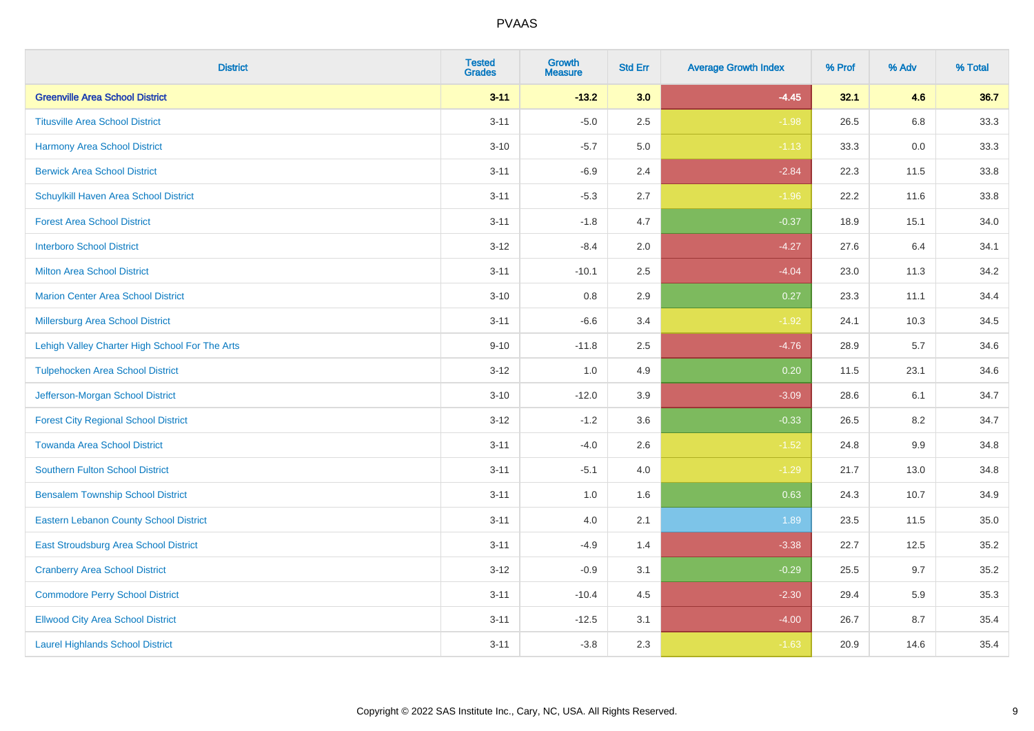| <b>District</b>                                | <b>Tested</b><br><b>Grades</b> | <b>Growth</b><br><b>Measure</b> | <b>Std Err</b> | <b>Average Growth Index</b> | % Prof | % Adv | % Total |
|------------------------------------------------|--------------------------------|---------------------------------|----------------|-----------------------------|--------|-------|---------|
| <b>Greenville Area School District</b>         | $3 - 11$                       | $-13.2$                         | 3.0            | $-4.45$                     | 32.1   | 4.6   | 36.7    |
| <b>Titusville Area School District</b>         | $3 - 11$                       | $-5.0$                          | 2.5            | $-1.98$                     | 26.5   | 6.8   | 33.3    |
| Harmony Area School District                   | $3 - 10$                       | $-5.7$                          | 5.0            | $-1.13$                     | 33.3   | 0.0   | 33.3    |
| <b>Berwick Area School District</b>            | $3 - 11$                       | $-6.9$                          | 2.4            | $-2.84$                     | 22.3   | 11.5  | 33.8    |
| Schuylkill Haven Area School District          | $3 - 11$                       | $-5.3$                          | 2.7            | $-1.96$                     | 22.2   | 11.6  | 33.8    |
| <b>Forest Area School District</b>             | $3 - 11$                       | $-1.8$                          | 4.7            | $-0.37$                     | 18.9   | 15.1  | 34.0    |
| <b>Interboro School District</b>               | $3 - 12$                       | $-8.4$                          | 2.0            | $-4.27$                     | 27.6   | 6.4   | 34.1    |
| <b>Milton Area School District</b>             | $3 - 11$                       | $-10.1$                         | 2.5            | $-4.04$                     | 23.0   | 11.3  | 34.2    |
| <b>Marion Center Area School District</b>      | $3 - 10$                       | 0.8                             | 2.9            | 0.27                        | 23.3   | 11.1  | 34.4    |
| <b>Millersburg Area School District</b>        | $3 - 11$                       | $-6.6$                          | 3.4            | $-1.92$                     | 24.1   | 10.3  | 34.5    |
| Lehigh Valley Charter High School For The Arts | $9 - 10$                       | $-11.8$                         | 2.5            | $-4.76$                     | 28.9   | 5.7   | 34.6    |
| <b>Tulpehocken Area School District</b>        | $3 - 12$                       | 1.0                             | 4.9            | 0.20                        | 11.5   | 23.1  | 34.6    |
| Jefferson-Morgan School District               | $3 - 10$                       | $-12.0$                         | 3.9            | $-3.09$                     | 28.6   | 6.1   | 34.7    |
| <b>Forest City Regional School District</b>    | $3 - 12$                       | $-1.2$                          | 3.6            | $-0.33$                     | 26.5   | 8.2   | 34.7    |
| <b>Towanda Area School District</b>            | $3 - 11$                       | $-4.0$                          | 2.6            | $-1.52$                     | 24.8   | 9.9   | 34.8    |
| <b>Southern Fulton School District</b>         | $3 - 11$                       | $-5.1$                          | 4.0            | $-1.29$                     | 21.7   | 13.0  | 34.8    |
| <b>Bensalem Township School District</b>       | $3 - 11$                       | 1.0                             | 1.6            | 0.63                        | 24.3   | 10.7  | 34.9    |
| <b>Eastern Lebanon County School District</b>  | $3 - 11$                       | 4.0                             | 2.1            | 1.89                        | 23.5   | 11.5  | 35.0    |
| East Stroudsburg Area School District          | $3 - 11$                       | $-4.9$                          | 1.4            | $-3.38$                     | 22.7   | 12.5  | 35.2    |
| <b>Cranberry Area School District</b>          | $3 - 12$                       | $-0.9$                          | 3.1            | $-0.29$                     | 25.5   | 9.7   | 35.2    |
| <b>Commodore Perry School District</b>         | $3 - 11$                       | $-10.4$                         | 4.5            | $-2.30$                     | 29.4   | 5.9   | 35.3    |
| <b>Ellwood City Area School District</b>       | $3 - 11$                       | $-12.5$                         | 3.1            | $-4.00$                     | 26.7   | 8.7   | 35.4    |
| <b>Laurel Highlands School District</b>        | $3 - 11$                       | $-3.8$                          | 2.3            | $-1.63$                     | 20.9   | 14.6  | 35.4    |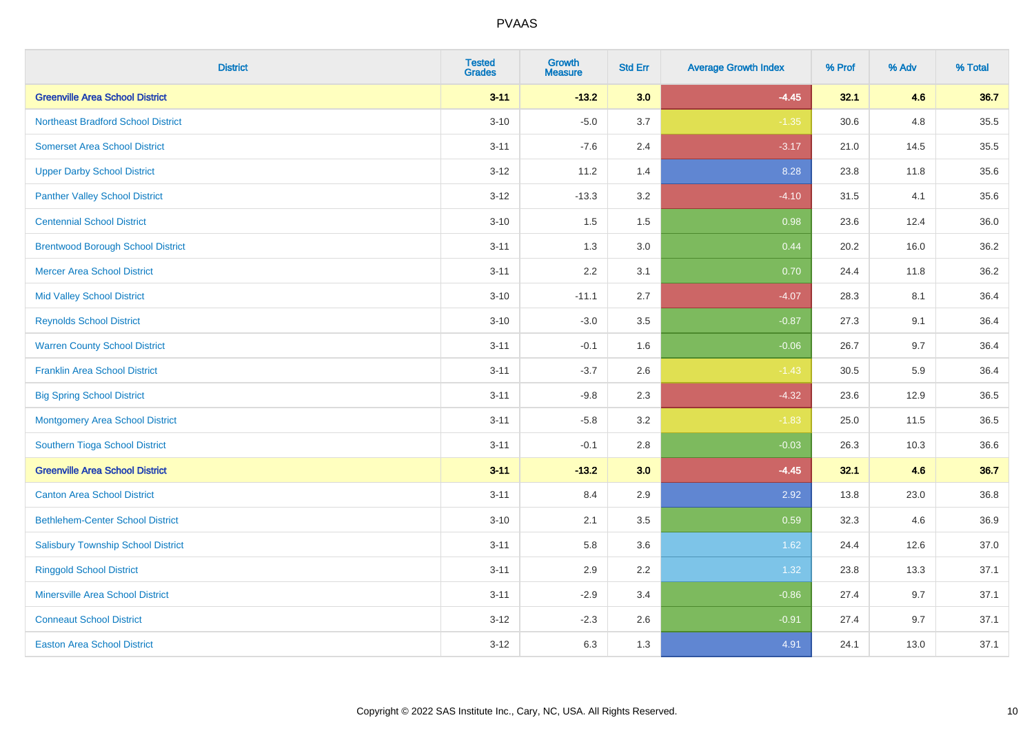| <b>District</b>                           | <b>Tested</b><br><b>Grades</b> | <b>Growth</b><br><b>Measure</b> | <b>Std Err</b> | <b>Average Growth Index</b> | % Prof | % Adv | % Total |
|-------------------------------------------|--------------------------------|---------------------------------|----------------|-----------------------------|--------|-------|---------|
| <b>Greenville Area School District</b>    | $3 - 11$                       | $-13.2$                         | 3.0            | $-4.45$                     | 32.1   | 4.6   | 36.7    |
| <b>Northeast Bradford School District</b> | $3 - 10$                       | $-5.0$                          | 3.7            | $-1.35$                     | 30.6   | 4.8   | 35.5    |
| <b>Somerset Area School District</b>      | $3 - 11$                       | $-7.6$                          | 2.4            | $-3.17$                     | 21.0   | 14.5  | 35.5    |
| <b>Upper Darby School District</b>        | $3 - 12$                       | 11.2                            | 1.4            | 8.28                        | 23.8   | 11.8  | 35.6    |
| <b>Panther Valley School District</b>     | $3 - 12$                       | $-13.3$                         | 3.2            | $-4.10$                     | 31.5   | 4.1   | 35.6    |
| <b>Centennial School District</b>         | $3 - 10$                       | 1.5                             | 1.5            | 0.98                        | 23.6   | 12.4  | 36.0    |
| <b>Brentwood Borough School District</b>  | $3 - 11$                       | 1.3                             | 3.0            | 0.44                        | 20.2   | 16.0  | 36.2    |
| <b>Mercer Area School District</b>        | $3 - 11$                       | 2.2                             | 3.1            | 0.70                        | 24.4   | 11.8  | 36.2    |
| <b>Mid Valley School District</b>         | $3 - 10$                       | $-11.1$                         | 2.7            | $-4.07$                     | 28.3   | 8.1   | 36.4    |
| <b>Reynolds School District</b>           | $3 - 10$                       | $-3.0$                          | 3.5            | $-0.87$                     | 27.3   | 9.1   | 36.4    |
| <b>Warren County School District</b>      | $3 - 11$                       | $-0.1$                          | 1.6            | $-0.06$                     | 26.7   | 9.7   | 36.4    |
| <b>Franklin Area School District</b>      | $3 - 11$                       | $-3.7$                          | 2.6            | $-1.43$                     | 30.5   | 5.9   | 36.4    |
| <b>Big Spring School District</b>         | $3 - 11$                       | $-9.8$                          | 2.3            | $-4.32$                     | 23.6   | 12.9  | 36.5    |
| <b>Montgomery Area School District</b>    | $3 - 11$                       | $-5.8$                          | 3.2            | $-1.83$                     | 25.0   | 11.5  | 36.5    |
| Southern Tioga School District            | $3 - 11$                       | $-0.1$                          | 2.8            | $-0.03$                     | 26.3   | 10.3  | 36.6    |
| <b>Greenville Area School District</b>    | $3 - 11$                       | $-13.2$                         | 3.0            | $-4.45$                     | 32.1   | 4.6   | 36.7    |
| <b>Canton Area School District</b>        | $3 - 11$                       | 8.4                             | 2.9            | 2.92                        | 13.8   | 23.0  | 36.8    |
| <b>Bethlehem-Center School District</b>   | $3 - 10$                       | 2.1                             | 3.5            | 0.59                        | 32.3   | 4.6   | 36.9    |
| <b>Salisbury Township School District</b> | $3 - 11$                       | 5.8                             | 3.6            | 1.62                        | 24.4   | 12.6  | 37.0    |
| <b>Ringgold School District</b>           | $3 - 11$                       | 2.9                             | 2.2            | 1.32                        | 23.8   | 13.3  | 37.1    |
| <b>Minersville Area School District</b>   | $3 - 11$                       | $-2.9$                          | 3.4            | $-0.86$                     | 27.4   | 9.7   | 37.1    |
| <b>Conneaut School District</b>           | $3 - 12$                       | $-2.3$                          | 2.6            | $-0.91$                     | 27.4   | 9.7   | 37.1    |
| <b>Easton Area School District</b>        | $3 - 12$                       | 6.3                             | 1.3            | 4.91                        | 24.1   | 13.0  | 37.1    |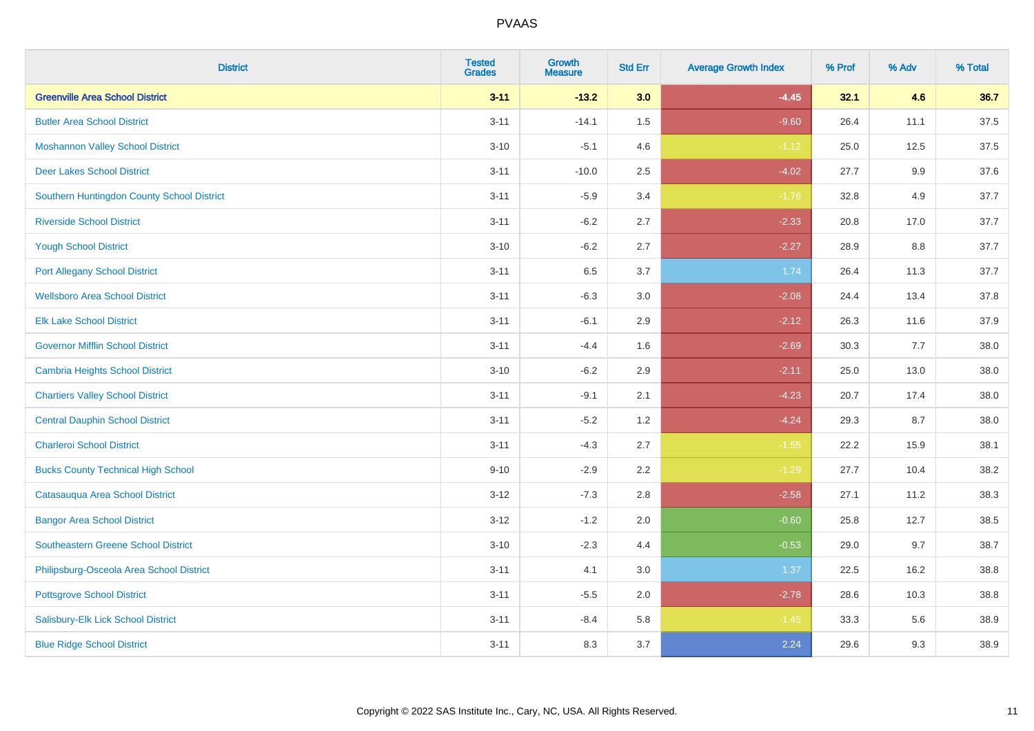| <b>District</b>                            | <b>Tested</b><br><b>Grades</b> | <b>Growth</b><br><b>Measure</b> | <b>Std Err</b> | <b>Average Growth Index</b> | % Prof | % Adv | % Total |
|--------------------------------------------|--------------------------------|---------------------------------|----------------|-----------------------------|--------|-------|---------|
| <b>Greenville Area School District</b>     | $3 - 11$                       | $-13.2$                         | 3.0            | $-4.45$                     | 32.1   | 4.6   | 36.7    |
| <b>Butler Area School District</b>         | $3 - 11$                       | $-14.1$                         | 1.5            | $-9.60$                     | 26.4   | 11.1  | 37.5    |
| <b>Moshannon Valley School District</b>    | $3 - 10$                       | $-5.1$                          | 4.6            | $-1.12$                     | 25.0   | 12.5  | 37.5    |
| <b>Deer Lakes School District</b>          | $3 - 11$                       | $-10.0$                         | 2.5            | $-4.02$                     | 27.7   | 9.9   | 37.6    |
| Southern Huntingdon County School District | $3 - 11$                       | $-5.9$                          | 3.4            | $-1.76$                     | 32.8   | 4.9   | 37.7    |
| <b>Riverside School District</b>           | $3 - 11$                       | $-6.2$                          | 2.7            | $-2.33$                     | 20.8   | 17.0  | 37.7    |
| <b>Yough School District</b>               | $3 - 10$                       | $-6.2$                          | 2.7            | $-2.27$                     | 28.9   | 8.8   | 37.7    |
| <b>Port Allegany School District</b>       | $3 - 11$                       | 6.5                             | 3.7            | 1.74                        | 26.4   | 11.3  | 37.7    |
| <b>Wellsboro Area School District</b>      | $3 - 11$                       | $-6.3$                          | 3.0            | $-2.08$                     | 24.4   | 13.4  | 37.8    |
| <b>Elk Lake School District</b>            | $3 - 11$                       | $-6.1$                          | 2.9            | $-2.12$                     | 26.3   | 11.6  | 37.9    |
| <b>Governor Mifflin School District</b>    | $3 - 11$                       | $-4.4$                          | 1.6            | $-2.69$                     | 30.3   | 7.7   | 38.0    |
| <b>Cambria Heights School District</b>     | $3 - 10$                       | $-6.2$                          | 2.9            | $-2.11$                     | 25.0   | 13.0  | 38.0    |
| <b>Chartiers Valley School District</b>    | $3 - 11$                       | $-9.1$                          | 2.1            | $-4.23$                     | 20.7   | 17.4  | 38.0    |
| <b>Central Dauphin School District</b>     | $3 - 11$                       | $-5.2$                          | 1.2            | $-4.24$                     | 29.3   | 8.7   | 38.0    |
| <b>Charleroi School District</b>           | $3 - 11$                       | $-4.3$                          | 2.7            | $-1.55$                     | 22.2   | 15.9  | 38.1    |
| <b>Bucks County Technical High School</b>  | $9 - 10$                       | $-2.9$                          | 2.2            | $-1.29$                     | 27.7   | 10.4  | 38.2    |
| Catasauqua Area School District            | $3 - 12$                       | $-7.3$                          | 2.8            | $-2.58$                     | 27.1   | 11.2  | 38.3    |
| <b>Bangor Area School District</b>         | $3 - 12$                       | $-1.2$                          | 2.0            | $-0.60$                     | 25.8   | 12.7  | 38.5    |
| <b>Southeastern Greene School District</b> | $3 - 10$                       | $-2.3$                          | 4.4            | $-0.53$                     | 29.0   | 9.7   | 38.7    |
| Philipsburg-Osceola Area School District   | $3 - 11$                       | 4.1                             | 3.0            | 1.37                        | 22.5   | 16.2  | 38.8    |
| <b>Pottsgrove School District</b>          | $3 - 11$                       | $-5.5$                          | 2.0            | $-2.78$                     | 28.6   | 10.3  | 38.8    |
| Salisbury-Elk Lick School District         | $3 - 11$                       | $-8.4$                          | 5.8            | $-1.45$                     | 33.3   | 5.6   | 38.9    |
| <b>Blue Ridge School District</b>          | $3 - 11$                       | 8.3                             | 3.7            | 2.24                        | 29.6   | 9.3   | 38.9    |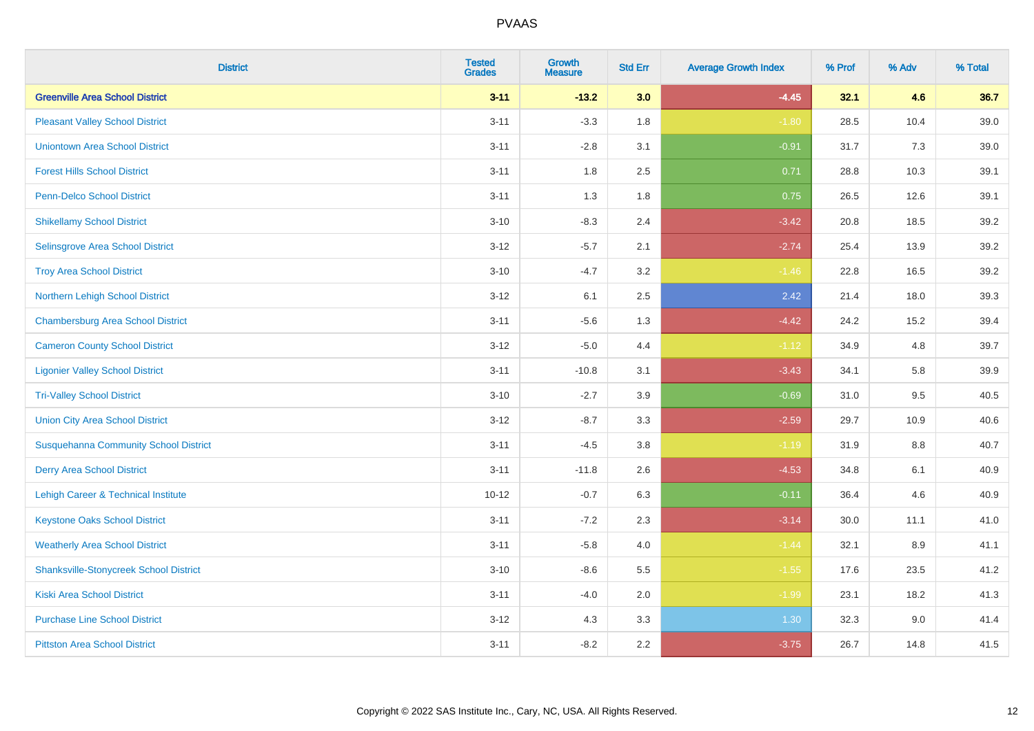| <b>District</b>                               | <b>Tested</b><br><b>Grades</b> | <b>Growth</b><br><b>Measure</b> | <b>Std Err</b> | <b>Average Growth Index</b> | % Prof | % Adv | % Total |
|-----------------------------------------------|--------------------------------|---------------------------------|----------------|-----------------------------|--------|-------|---------|
| <b>Greenville Area School District</b>        | $3 - 11$                       | $-13.2$                         | 3.0            | $-4.45$                     | 32.1   | 4.6   | 36.7    |
| <b>Pleasant Valley School District</b>        | $3 - 11$                       | $-3.3$                          | 1.8            | $-1.80$                     | 28.5   | 10.4  | 39.0    |
| <b>Uniontown Area School District</b>         | $3 - 11$                       | $-2.8$                          | 3.1            | $-0.91$                     | 31.7   | 7.3   | 39.0    |
| <b>Forest Hills School District</b>           | $3 - 11$                       | 1.8                             | 2.5            | 0.71                        | 28.8   | 10.3  | 39.1    |
| <b>Penn-Delco School District</b>             | $3 - 11$                       | 1.3                             | 1.8            | 0.75                        | 26.5   | 12.6  | 39.1    |
| <b>Shikellamy School District</b>             | $3 - 10$                       | $-8.3$                          | 2.4            | $-3.42$                     | 20.8   | 18.5  | 39.2    |
| Selinsgrove Area School District              | $3 - 12$                       | $-5.7$                          | 2.1            | $-2.74$                     | 25.4   | 13.9  | 39.2    |
| <b>Troy Area School District</b>              | $3 - 10$                       | $-4.7$                          | 3.2            | $-1.46$                     | 22.8   | 16.5  | 39.2    |
| Northern Lehigh School District               | $3 - 12$                       | 6.1                             | 2.5            | 2.42                        | 21.4   | 18.0  | 39.3    |
| <b>Chambersburg Area School District</b>      | $3 - 11$                       | $-5.6$                          | 1.3            | $-4.42$                     | 24.2   | 15.2  | 39.4    |
| <b>Cameron County School District</b>         | $3-12$                         | $-5.0$                          | 4.4            | $-1.12$                     | 34.9   | 4.8   | 39.7    |
| <b>Ligonier Valley School District</b>        | $3 - 11$                       | $-10.8$                         | 3.1            | $-3.43$                     | 34.1   | 5.8   | 39.9    |
| <b>Tri-Valley School District</b>             | $3 - 10$                       | $-2.7$                          | 3.9            | $-0.69$                     | 31.0   | 9.5   | 40.5    |
| <b>Union City Area School District</b>        | $3 - 12$                       | $-8.7$                          | 3.3            | $-2.59$                     | 29.7   | 10.9  | 40.6    |
| <b>Susquehanna Community School District</b>  | $3 - 11$                       | $-4.5$                          | 3.8            | $-1.19$                     | 31.9   | 8.8   | 40.7    |
| <b>Derry Area School District</b>             | $3 - 11$                       | $-11.8$                         | 2.6            | $-4.53$                     | 34.8   | 6.1   | 40.9    |
| Lehigh Career & Technical Institute           | $10 - 12$                      | $-0.7$                          | 6.3            | $-0.11$                     | 36.4   | 4.6   | 40.9    |
| <b>Keystone Oaks School District</b>          | $3 - 11$                       | $-7.2$                          | 2.3            | $-3.14$                     | 30.0   | 11.1  | 41.0    |
| <b>Weatherly Area School District</b>         | $3 - 11$                       | $-5.8$                          | 4.0            | $-1.44$                     | 32.1   | 8.9   | 41.1    |
| <b>Shanksville-Stonycreek School District</b> | $3 - 10$                       | $-8.6$                          | 5.5            | $-1.55$                     | 17.6   | 23.5  | 41.2    |
| <b>Kiski Area School District</b>             | $3 - 11$                       | $-4.0$                          | 2.0            | $-1.99$                     | 23.1   | 18.2  | 41.3    |
| <b>Purchase Line School District</b>          | $3 - 12$                       | 4.3                             | 3.3            | 1.30                        | 32.3   | 9.0   | 41.4    |
| <b>Pittston Area School District</b>          | $3 - 11$                       | $-8.2$                          | 2.2            | $-3.75$                     | 26.7   | 14.8  | 41.5    |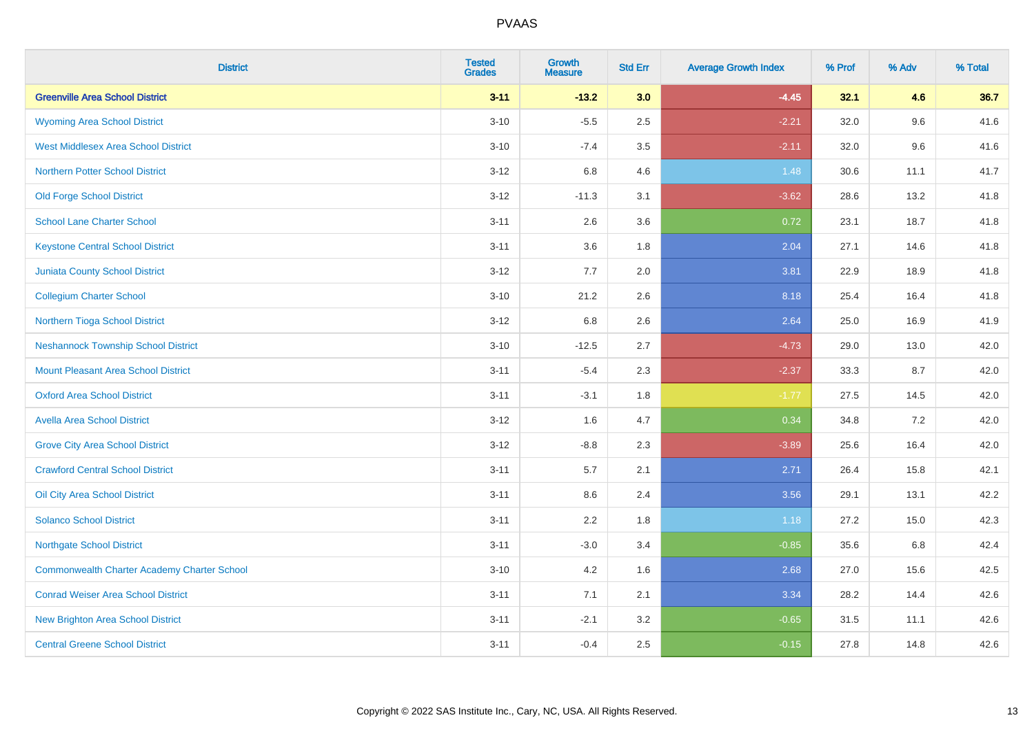| <b>District</b>                                    | <b>Tested</b><br><b>Grades</b> | <b>Growth</b><br><b>Measure</b> | <b>Std Err</b> | <b>Average Growth Index</b> | % Prof | % Adv | % Total |
|----------------------------------------------------|--------------------------------|---------------------------------|----------------|-----------------------------|--------|-------|---------|
| <b>Greenville Area School District</b>             | $3 - 11$                       | $-13.2$                         | 3.0            | $-4.45$                     | 32.1   | 4.6   | 36.7    |
| <b>Wyoming Area School District</b>                | $3 - 10$                       | $-5.5$                          | 2.5            | $-2.21$                     | 32.0   | 9.6   | 41.6    |
| <b>West Middlesex Area School District</b>         | $3 - 10$                       | $-7.4$                          | 3.5            | $-2.11$                     | 32.0   | 9.6   | 41.6    |
| <b>Northern Potter School District</b>             | $3 - 12$                       | 6.8                             | 4.6            | 1.48                        | 30.6   | 11.1  | 41.7    |
| <b>Old Forge School District</b>                   | $3 - 12$                       | $-11.3$                         | 3.1            | $-3.62$                     | 28.6   | 13.2  | 41.8    |
| <b>School Lane Charter School</b>                  | $3 - 11$                       | 2.6                             | 3.6            | 0.72                        | 23.1   | 18.7  | 41.8    |
| <b>Keystone Central School District</b>            | $3 - 11$                       | 3.6                             | 1.8            | 2.04                        | 27.1   | 14.6  | 41.8    |
| <b>Juniata County School District</b>              | $3 - 12$                       | 7.7                             | 2.0            | 3.81                        | 22.9   | 18.9  | 41.8    |
| <b>Collegium Charter School</b>                    | $3 - 10$                       | 21.2                            | 2.6            | 8.18                        | 25.4   | 16.4  | 41.8    |
| Northern Tioga School District                     | $3 - 12$                       | 6.8                             | 2.6            | 2.64                        | 25.0   | 16.9  | 41.9    |
| <b>Neshannock Township School District</b>         | $3 - 10$                       | $-12.5$                         | 2.7            | $-4.73$                     | 29.0   | 13.0  | 42.0    |
| Mount Pleasant Area School District                | $3 - 11$                       | $-5.4$                          | 2.3            | $-2.37$                     | 33.3   | 8.7   | 42.0    |
| <b>Oxford Area School District</b>                 | $3 - 11$                       | $-3.1$                          | 1.8            | $-1.77$                     | 27.5   | 14.5  | 42.0    |
| <b>Avella Area School District</b>                 | $3 - 12$                       | 1.6                             | 4.7            | 0.34                        | 34.8   | 7.2   | 42.0    |
| <b>Grove City Area School District</b>             | $3 - 12$                       | $-8.8$                          | 2.3            | $-3.89$                     | 25.6   | 16.4  | 42.0    |
| <b>Crawford Central School District</b>            | $3 - 11$                       | 5.7                             | 2.1            | 2.71                        | 26.4   | 15.8  | 42.1    |
| <b>Oil City Area School District</b>               | $3 - 11$                       | 8.6                             | 2.4            | 3.56                        | 29.1   | 13.1  | 42.2    |
| <b>Solanco School District</b>                     | $3 - 11$                       | 2.2                             | 1.8            | 1.18                        | 27.2   | 15.0  | 42.3    |
| <b>Northgate School District</b>                   | $3 - 11$                       | $-3.0$                          | 3.4            | $-0.85$                     | 35.6   | 6.8   | 42.4    |
| <b>Commonwealth Charter Academy Charter School</b> | $3 - 10$                       | 4.2                             | 1.6            | 2.68                        | 27.0   | 15.6  | 42.5    |
| <b>Conrad Weiser Area School District</b>          | $3 - 11$                       | 7.1                             | 2.1            | 3.34                        | 28.2   | 14.4  | 42.6    |
| <b>New Brighton Area School District</b>           | $3 - 11$                       | $-2.1$                          | 3.2            | $-0.65$                     | 31.5   | 11.1  | 42.6    |
| <b>Central Greene School District</b>              | $3 - 11$                       | $-0.4$                          | 2.5            | $-0.15$                     | 27.8   | 14.8  | 42.6    |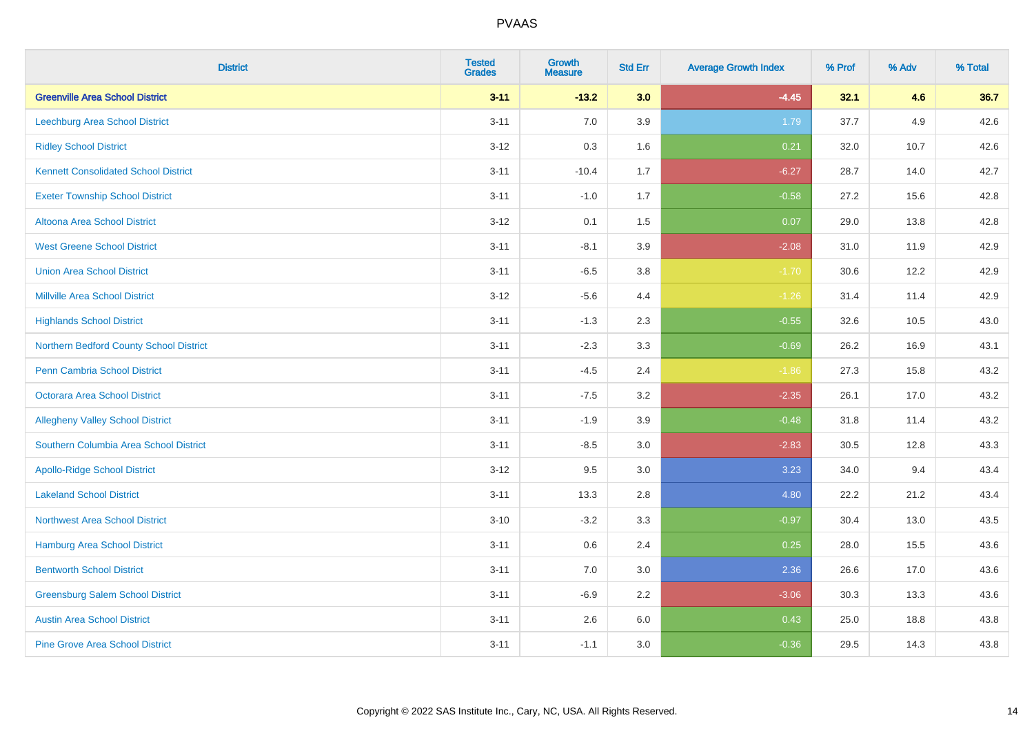| <b>District</b>                             | <b>Tested</b><br><b>Grades</b> | <b>Growth</b><br><b>Measure</b> | <b>Std Err</b> | <b>Average Growth Index</b> | % Prof | % Adv | % Total |
|---------------------------------------------|--------------------------------|---------------------------------|----------------|-----------------------------|--------|-------|---------|
| <b>Greenville Area School District</b>      | $3 - 11$                       | $-13.2$                         | 3.0            | $-4.45$                     | 32.1   | 4.6   | 36.7    |
| Leechburg Area School District              | $3 - 11$                       | 7.0                             | 3.9            | 1.79                        | 37.7   | 4.9   | 42.6    |
| <b>Ridley School District</b>               | $3 - 12$                       | 0.3                             | 1.6            | 0.21                        | 32.0   | 10.7  | 42.6    |
| <b>Kennett Consolidated School District</b> | $3 - 11$                       | $-10.4$                         | 1.7            | $-6.27$                     | 28.7   | 14.0  | 42.7    |
| <b>Exeter Township School District</b>      | $3 - 11$                       | $-1.0$                          | 1.7            | $-0.58$                     | 27.2   | 15.6  | 42.8    |
| <b>Altoona Area School District</b>         | $3 - 12$                       | 0.1                             | 1.5            | 0.07                        | 29.0   | 13.8  | 42.8    |
| <b>West Greene School District</b>          | $3 - 11$                       | $-8.1$                          | 3.9            | $-2.08$                     | 31.0   | 11.9  | 42.9    |
| <b>Union Area School District</b>           | $3 - 11$                       | $-6.5$                          | $3.8\,$        | $-1.70$                     | 30.6   | 12.2  | 42.9    |
| <b>Millville Area School District</b>       | $3-12$                         | $-5.6$                          | 4.4            | $-1.26$                     | 31.4   | 11.4  | 42.9    |
| <b>Highlands School District</b>            | $3 - 11$                       | $-1.3$                          | 2.3            | $-0.55$                     | 32.6   | 10.5  | 43.0    |
| Northern Bedford County School District     | $3 - 11$                       | $-2.3$                          | 3.3            | $-0.69$                     | 26.2   | 16.9  | 43.1    |
| Penn Cambria School District                | $3 - 11$                       | $-4.5$                          | 2.4            | $-1.86$                     | 27.3   | 15.8  | 43.2    |
| Octorara Area School District               | $3 - 11$                       | $-7.5$                          | 3.2            | $-2.35$                     | 26.1   | 17.0  | 43.2    |
| <b>Allegheny Valley School District</b>     | $3 - 11$                       | $-1.9$                          | 3.9            | $-0.48$                     | 31.8   | 11.4  | 43.2    |
| Southern Columbia Area School District      | $3 - 11$                       | $-8.5$                          | 3.0            | $-2.83$                     | 30.5   | 12.8  | 43.3    |
| <b>Apollo-Ridge School District</b>         | $3-12$                         | 9.5                             | 3.0            | 3.23                        | 34.0   | 9.4   | 43.4    |
| <b>Lakeland School District</b>             | $3 - 11$                       | 13.3                            | 2.8            | 4.80                        | 22.2   | 21.2  | 43.4    |
| <b>Northwest Area School District</b>       | $3 - 10$                       | $-3.2$                          | 3.3            | $-0.97$                     | 30.4   | 13.0  | 43.5    |
| <b>Hamburg Area School District</b>         | $3 - 11$                       | 0.6                             | 2.4            | 0.25                        | 28.0   | 15.5  | 43.6    |
| <b>Bentworth School District</b>            | $3 - 11$                       | 7.0                             | $3.0\,$        | 2.36                        | 26.6   | 17.0  | 43.6    |
| <b>Greensburg Salem School District</b>     | $3 - 11$                       | $-6.9$                          | 2.2            | $-3.06$                     | 30.3   | 13.3  | 43.6    |
| <b>Austin Area School District</b>          | $3 - 11$                       | 2.6                             | 6.0            | 0.43                        | 25.0   | 18.8  | 43.8    |
| <b>Pine Grove Area School District</b>      | $3 - 11$                       | $-1.1$                          | 3.0            | $-0.36$                     | 29.5   | 14.3  | 43.8    |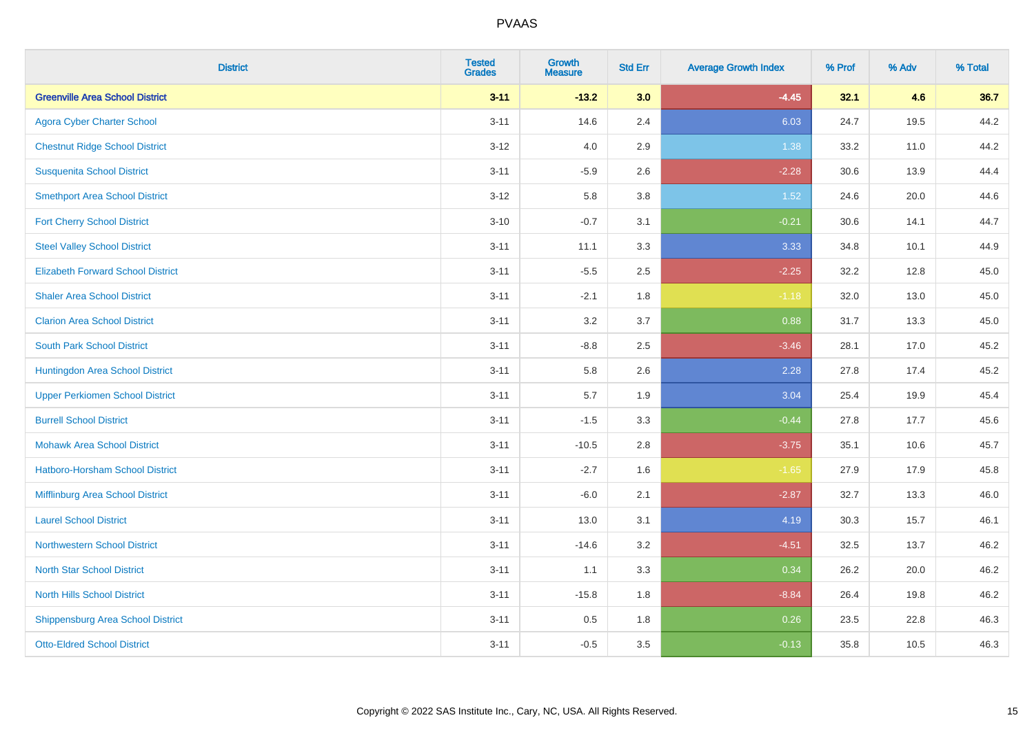| <b>District</b>                          | <b>Tested</b><br><b>Grades</b> | <b>Growth</b><br><b>Measure</b> | <b>Std Err</b> | <b>Average Growth Index</b> | % Prof | % Adv | % Total |
|------------------------------------------|--------------------------------|---------------------------------|----------------|-----------------------------|--------|-------|---------|
| <b>Greenville Area School District</b>   | $3 - 11$                       | $-13.2$                         | 3.0            | $-4.45$                     | 32.1   | 4.6   | 36.7    |
| <b>Agora Cyber Charter School</b>        | $3 - 11$                       | 14.6                            | 2.4            | 6.03                        | 24.7   | 19.5  | 44.2    |
| <b>Chestnut Ridge School District</b>    | $3 - 12$                       | 4.0                             | 2.9            | 1.38                        | 33.2   | 11.0  | 44.2    |
| <b>Susquenita School District</b>        | $3 - 11$                       | $-5.9$                          | 2.6            | $-2.28$                     | 30.6   | 13.9  | 44.4    |
| <b>Smethport Area School District</b>    | $3 - 12$                       | 5.8                             | 3.8            | 1.52                        | 24.6   | 20.0  | 44.6    |
| <b>Fort Cherry School District</b>       | $3 - 10$                       | $-0.7$                          | 3.1            | $-0.21$                     | 30.6   | 14.1  | 44.7    |
| <b>Steel Valley School District</b>      | $3 - 11$                       | 11.1                            | 3.3            | 3.33                        | 34.8   | 10.1  | 44.9    |
| <b>Elizabeth Forward School District</b> | $3 - 11$                       | $-5.5$                          | 2.5            | $-2.25$                     | 32.2   | 12.8  | 45.0    |
| <b>Shaler Area School District</b>       | $3 - 11$                       | $-2.1$                          | 1.8            | $-1.18$                     | 32.0   | 13.0  | 45.0    |
| <b>Clarion Area School District</b>      | $3 - 11$                       | 3.2                             | 3.7            | 0.88                        | 31.7   | 13.3  | 45.0    |
| <b>South Park School District</b>        | $3 - 11$                       | $-8.8$                          | 2.5            | $-3.46$                     | 28.1   | 17.0  | 45.2    |
| Huntingdon Area School District          | $3 - 11$                       | 5.8                             | 2.6            | 2.28                        | 27.8   | 17.4  | 45.2    |
| <b>Upper Perkiomen School District</b>   | $3 - 11$                       | 5.7                             | 1.9            | 3.04                        | 25.4   | 19.9  | 45.4    |
| <b>Burrell School District</b>           | $3 - 11$                       | $-1.5$                          | 3.3            | $-0.44$                     | 27.8   | 17.7  | 45.6    |
| <b>Mohawk Area School District</b>       | $3 - 11$                       | $-10.5$                         | 2.8            | $-3.75$                     | 35.1   | 10.6  | 45.7    |
| <b>Hatboro-Horsham School District</b>   | $3 - 11$                       | $-2.7$                          | 1.6            | $-1.65$                     | 27.9   | 17.9  | 45.8    |
| Mifflinburg Area School District         | $3 - 11$                       | $-6.0$                          | 2.1            | $-2.87$                     | 32.7   | 13.3  | 46.0    |
| <b>Laurel School District</b>            | $3 - 11$                       | 13.0                            | 3.1            | 4.19                        | 30.3   | 15.7  | 46.1    |
| Northwestern School District             | $3 - 11$                       | $-14.6$                         | 3.2            | $-4.51$                     | 32.5   | 13.7  | 46.2    |
| <b>North Star School District</b>        | $3 - 11$                       | 1.1                             | 3.3            | 0.34                        | 26.2   | 20.0  | 46.2    |
| <b>North Hills School District</b>       | $3 - 11$                       | $-15.8$                         | 1.8            | $-8.84$                     | 26.4   | 19.8  | 46.2    |
| <b>Shippensburg Area School District</b> | $3 - 11$                       | 0.5                             | 1.8            | 0.26                        | 23.5   | 22.8  | 46.3    |
| <b>Otto-Eldred School District</b>       | $3 - 11$                       | $-0.5$                          | 3.5            | $-0.13$                     | 35.8   | 10.5  | 46.3    |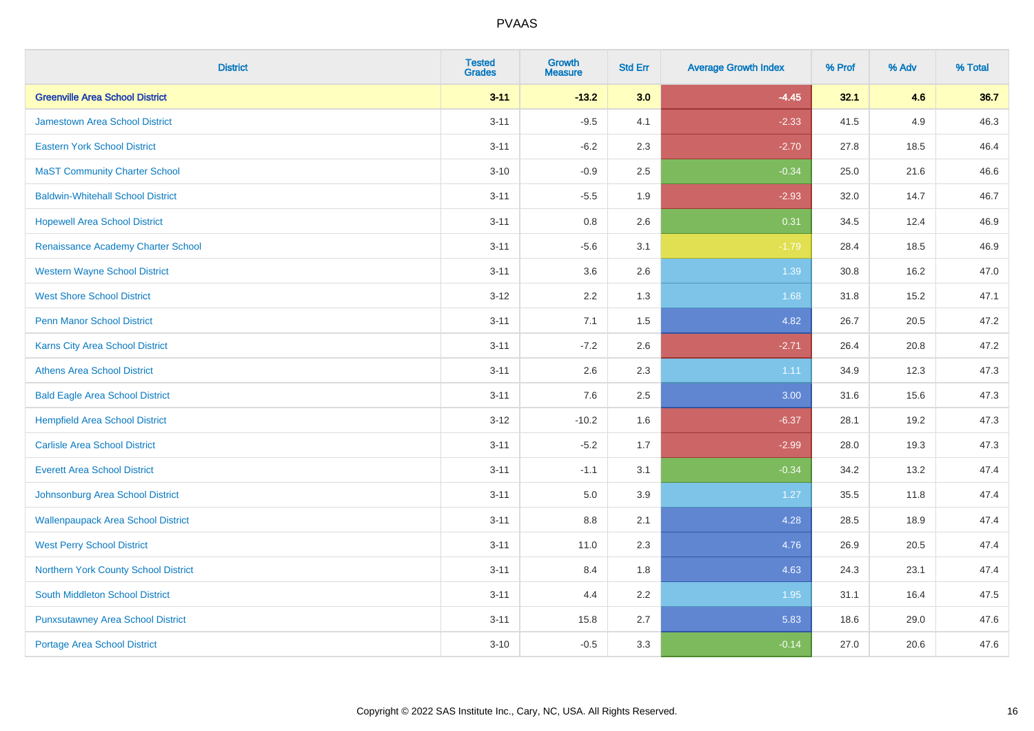| <b>District</b>                           | <b>Tested</b><br><b>Grades</b> | <b>Growth</b><br><b>Measure</b> | <b>Std Err</b> | <b>Average Growth Index</b> | % Prof | % Adv | % Total |
|-------------------------------------------|--------------------------------|---------------------------------|----------------|-----------------------------|--------|-------|---------|
| <b>Greenville Area School District</b>    | $3 - 11$                       | $-13.2$                         | 3.0            | $-4.45$                     | 32.1   | 4.6   | 36.7    |
| <b>Jamestown Area School District</b>     | $3 - 11$                       | $-9.5$                          | 4.1            | $-2.33$                     | 41.5   | 4.9   | 46.3    |
| <b>Eastern York School District</b>       | $3 - 11$                       | $-6.2$                          | 2.3            | $-2.70$                     | 27.8   | 18.5  | 46.4    |
| <b>MaST Community Charter School</b>      | $3 - 10$                       | $-0.9$                          | 2.5            | $-0.34$                     | 25.0   | 21.6  | 46.6    |
| <b>Baldwin-Whitehall School District</b>  | $3 - 11$                       | $-5.5$                          | 1.9            | $-2.93$                     | 32.0   | 14.7  | 46.7    |
| <b>Hopewell Area School District</b>      | $3 - 11$                       | 0.8                             | 2.6            | 0.31                        | 34.5   | 12.4  | 46.9    |
| Renaissance Academy Charter School        | $3 - 11$                       | $-5.6$                          | 3.1            | $-1.79$                     | 28.4   | 18.5  | 46.9    |
| <b>Western Wayne School District</b>      | $3 - 11$                       | 3.6                             | 2.6            | 1.39                        | 30.8   | 16.2  | 47.0    |
| <b>West Shore School District</b>         | $3-12$                         | 2.2                             | 1.3            | 1.68                        | 31.8   | 15.2  | 47.1    |
| <b>Penn Manor School District</b>         | $3 - 11$                       | 7.1                             | 1.5            | 4.82                        | 26.7   | 20.5  | 47.2    |
| Karns City Area School District           | $3 - 11$                       | $-7.2$                          | 2.6            | $-2.71$                     | 26.4   | 20.8  | 47.2    |
| <b>Athens Area School District</b>        | $3 - 11$                       | 2.6                             | 2.3            | 1.11                        | 34.9   | 12.3  | 47.3    |
| <b>Bald Eagle Area School District</b>    | $3 - 11$                       | 7.6                             | 2.5            | 3.00                        | 31.6   | 15.6  | 47.3    |
| <b>Hempfield Area School District</b>     | $3 - 12$                       | $-10.2$                         | 1.6            | $-6.37$                     | 28.1   | 19.2  | 47.3    |
| <b>Carlisle Area School District</b>      | $3 - 11$                       | $-5.2$                          | 1.7            | $-2.99$                     | 28.0   | 19.3  | 47.3    |
| <b>Everett Area School District</b>       | $3 - 11$                       | $-1.1$                          | 3.1            | $-0.34$                     | 34.2   | 13.2  | 47.4    |
| Johnsonburg Area School District          | $3 - 11$                       | 5.0                             | 3.9            | $1.27$                      | 35.5   | 11.8  | 47.4    |
| <b>Wallenpaupack Area School District</b> | $3 - 11$                       | 8.8                             | 2.1            | 4.28                        | 28.5   | 18.9  | 47.4    |
| <b>West Perry School District</b>         | $3 - 11$                       | 11.0                            | 2.3            | 4.76                        | 26.9   | 20.5  | 47.4    |
| Northern York County School District      | $3 - 11$                       | 8.4                             | 1.8            | 4.63                        | 24.3   | 23.1  | 47.4    |
| South Middleton School District           | $3 - 11$                       | 4.4                             | 2.2            | 1.95                        | 31.1   | 16.4  | 47.5    |
| <b>Punxsutawney Area School District</b>  | $3 - 11$                       | 15.8                            | 2.7            | 5.83                        | 18.6   | 29.0  | 47.6    |
| Portage Area School District              | $3 - 10$                       | $-0.5$                          | 3.3            | $-0.14$                     | 27.0   | 20.6  | 47.6    |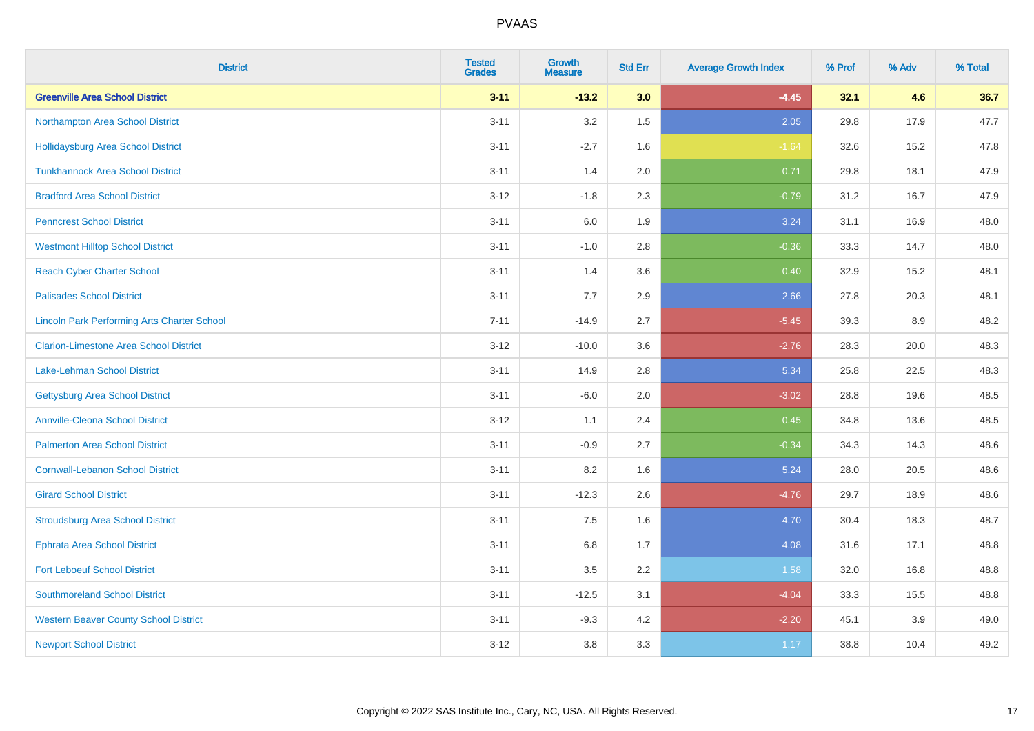| <b>District</b>                                    | <b>Tested</b><br><b>Grades</b> | <b>Growth</b><br><b>Measure</b> | <b>Std Err</b> | <b>Average Growth Index</b> | % Prof | % Adv | % Total |
|----------------------------------------------------|--------------------------------|---------------------------------|----------------|-----------------------------|--------|-------|---------|
| <b>Greenville Area School District</b>             | $3 - 11$                       | $-13.2$                         | 3.0            | $-4.45$                     | 32.1   | 4.6   | 36.7    |
| Northampton Area School District                   | $3 - 11$                       | 3.2                             | 1.5            | 2.05                        | 29.8   | 17.9  | 47.7    |
| <b>Hollidaysburg Area School District</b>          | $3 - 11$                       | $-2.7$                          | 1.6            | $-1.64$                     | 32.6   | 15.2  | 47.8    |
| <b>Tunkhannock Area School District</b>            | $3 - 11$                       | 1.4                             | 2.0            | 0.71                        | 29.8   | 18.1  | 47.9    |
| <b>Bradford Area School District</b>               | $3 - 12$                       | $-1.8$                          | 2.3            | $-0.79$                     | 31.2   | 16.7  | 47.9    |
| <b>Penncrest School District</b>                   | $3 - 11$                       | 6.0                             | 1.9            | 3.24                        | 31.1   | 16.9  | 48.0    |
| <b>Westmont Hilltop School District</b>            | $3 - 11$                       | $-1.0$                          | 2.8            | $-0.36$                     | 33.3   | 14.7  | 48.0    |
| <b>Reach Cyber Charter School</b>                  | $3 - 11$                       | 1.4                             | 3.6            | 0.40                        | 32.9   | 15.2  | 48.1    |
| <b>Palisades School District</b>                   | $3 - 11$                       | 7.7                             | 2.9            | 2.66                        | 27.8   | 20.3  | 48.1    |
| <b>Lincoln Park Performing Arts Charter School</b> | $7 - 11$                       | $-14.9$                         | 2.7            | $-5.45$                     | 39.3   | 8.9   | 48.2    |
| <b>Clarion-Limestone Area School District</b>      | $3 - 12$                       | $-10.0$                         | 3.6            | $-2.76$                     | 28.3   | 20.0  | 48.3    |
| <b>Lake-Lehman School District</b>                 | $3 - 11$                       | 14.9                            | 2.8            | 5.34                        | 25.8   | 22.5  | 48.3    |
| <b>Gettysburg Area School District</b>             | $3 - 11$                       | $-6.0$                          | 2.0            | $-3.02$                     | 28.8   | 19.6  | 48.5    |
| <b>Annville-Cleona School District</b>             | $3 - 12$                       | 1.1                             | 2.4            | 0.45                        | 34.8   | 13.6  | 48.5    |
| <b>Palmerton Area School District</b>              | $3 - 11$                       | $-0.9$                          | 2.7            | $-0.34$                     | 34.3   | 14.3  | 48.6    |
| <b>Cornwall-Lebanon School District</b>            | $3 - 11$                       | 8.2                             | 1.6            | 5.24                        | 28.0   | 20.5  | 48.6    |
| <b>Girard School District</b>                      | $3 - 11$                       | $-12.3$                         | 2.6            | $-4.76$                     | 29.7   | 18.9  | 48.6    |
| <b>Stroudsburg Area School District</b>            | $3 - 11$                       | 7.5                             | 1.6            | 4.70                        | 30.4   | 18.3  | 48.7    |
| <b>Ephrata Area School District</b>                | $3 - 11$                       | $6.8\,$                         | 1.7            | 4.08                        | 31.6   | 17.1  | 48.8    |
| <b>Fort Leboeuf School District</b>                | $3 - 11$                       | 3.5                             | 2.2            | 1.58                        | 32.0   | 16.8  | 48.8    |
| <b>Southmoreland School District</b>               | $3 - 11$                       | $-12.5$                         | 3.1            | $-4.04$                     | 33.3   | 15.5  | 48.8    |
| <b>Western Beaver County School District</b>       | $3 - 11$                       | $-9.3$                          | 4.2            | $-2.20$                     | 45.1   | 3.9   | 49.0    |
| <b>Newport School District</b>                     | $3 - 12$                       | 3.8                             | 3.3            | 1.17                        | 38.8   | 10.4  | 49.2    |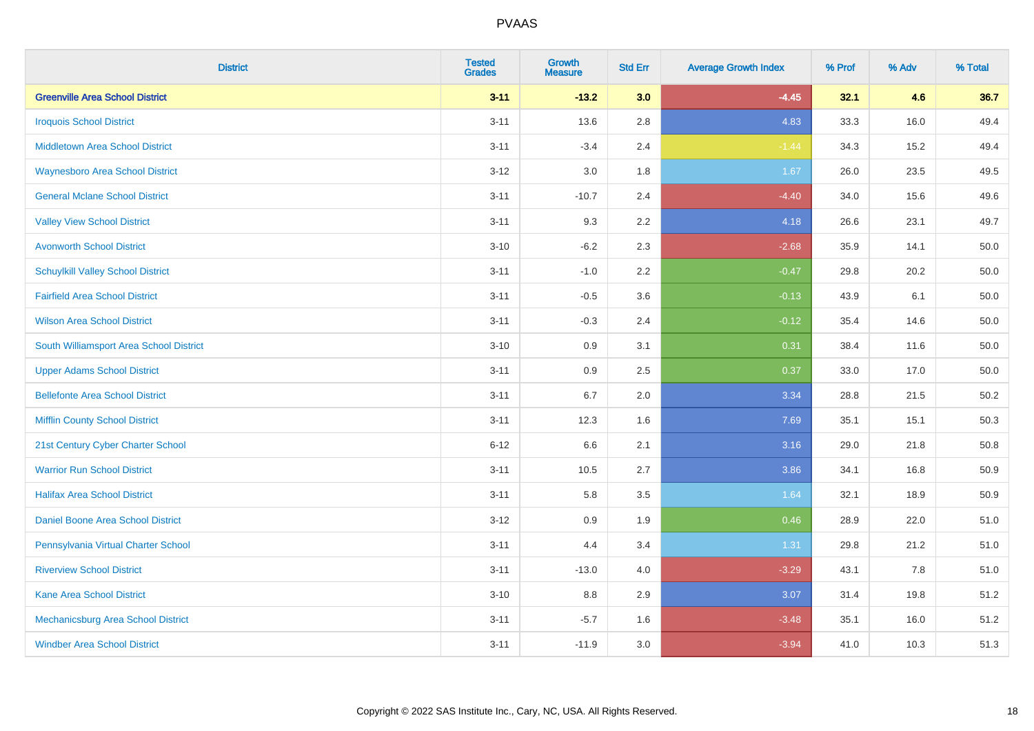| <b>District</b>                          | <b>Tested</b><br><b>Grades</b> | <b>Growth</b><br><b>Measure</b> | <b>Std Err</b> | <b>Average Growth Index</b> | % Prof | % Adv | % Total |
|------------------------------------------|--------------------------------|---------------------------------|----------------|-----------------------------|--------|-------|---------|
| <b>Greenville Area School District</b>   | $3 - 11$                       | $-13.2$                         | 3.0            | $-4.45$                     | 32.1   | 4.6   | 36.7    |
| <b>Iroquois School District</b>          | $3 - 11$                       | 13.6                            | 2.8            | 4.83                        | 33.3   | 16.0  | 49.4    |
| <b>Middletown Area School District</b>   | $3 - 11$                       | $-3.4$                          | 2.4            | $-1.44$                     | 34.3   | 15.2  | 49.4    |
| <b>Waynesboro Area School District</b>   | $3 - 12$                       | $3.0\,$                         | 1.8            | 1.67                        | 26.0   | 23.5  | 49.5    |
| <b>General Mclane School District</b>    | $3 - 11$                       | $-10.7$                         | 2.4            | $-4.40$                     | 34.0   | 15.6  | 49.6    |
| <b>Valley View School District</b>       | $3 - 11$                       | 9.3                             | 2.2            | 4.18                        | 26.6   | 23.1  | 49.7    |
| <b>Avonworth School District</b>         | $3 - 10$                       | $-6.2$                          | 2.3            | $-2.68$                     | 35.9   | 14.1  | 50.0    |
| <b>Schuylkill Valley School District</b> | $3 - 11$                       | $-1.0$                          | 2.2            | $-0.47$                     | 29.8   | 20.2  | 50.0    |
| <b>Fairfield Area School District</b>    | $3 - 11$                       | $-0.5$                          | 3.6            | $-0.13$                     | 43.9   | 6.1   | 50.0    |
| <b>Wilson Area School District</b>       | $3 - 11$                       | $-0.3$                          | 2.4            | $-0.12$                     | 35.4   | 14.6  | 50.0    |
| South Williamsport Area School District  | $3 - 10$                       | 0.9                             | 3.1            | 0.31                        | 38.4   | 11.6  | 50.0    |
| <b>Upper Adams School District</b>       | $3 - 11$                       | 0.9                             | 2.5            | 0.37                        | 33.0   | 17.0  | 50.0    |
| <b>Bellefonte Area School District</b>   | $3 - 11$                       | 6.7                             | 2.0            | 3.34                        | 28.8   | 21.5  | 50.2    |
| <b>Mifflin County School District</b>    | $3 - 11$                       | 12.3                            | 1.6            | 7.69                        | 35.1   | 15.1  | 50.3    |
| 21st Century Cyber Charter School        | $6 - 12$                       | 6.6                             | 2.1            | 3.16                        | 29.0   | 21.8  | 50.8    |
| <b>Warrior Run School District</b>       | $3 - 11$                       | 10.5                            | 2.7            | 3.86                        | 34.1   | 16.8  | 50.9    |
| <b>Halifax Area School District</b>      | $3 - 11$                       | 5.8                             | 3.5            | 1.64                        | 32.1   | 18.9  | 50.9    |
| Daniel Boone Area School District        | $3-12$                         | 0.9                             | 1.9            | 0.46                        | 28.9   | 22.0  | 51.0    |
| Pennsylvania Virtual Charter School      | $3 - 11$                       | 4.4                             | 3.4            | 1.31                        | 29.8   | 21.2  | 51.0    |
| <b>Riverview School District</b>         | $3 - 11$                       | $-13.0$                         | 4.0            | $-3.29$                     | 43.1   | 7.8   | 51.0    |
| Kane Area School District                | $3 - 10$                       | 8.8                             | 2.9            | 3.07                        | 31.4   | 19.8  | 51.2    |
| Mechanicsburg Area School District       | $3 - 11$                       | $-5.7$                          | 1.6            | $-3.48$                     | 35.1   | 16.0  | 51.2    |
| <b>Windber Area School District</b>      | $3 - 11$                       | $-11.9$                         | 3.0            | $-3.94$                     | 41.0   | 10.3  | 51.3    |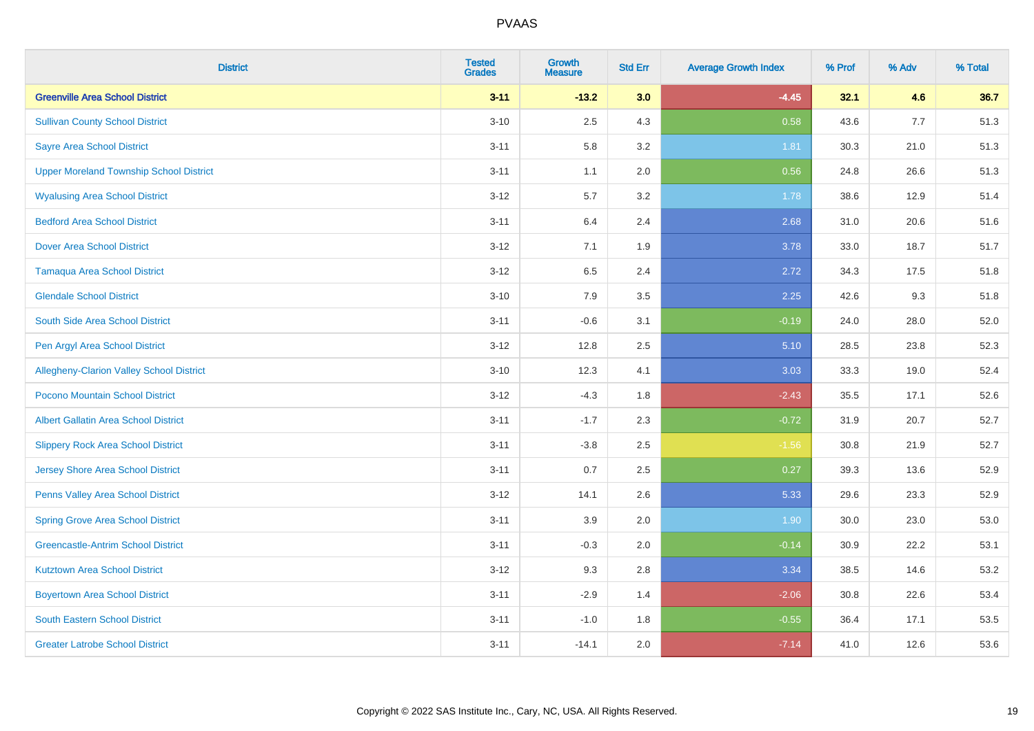| <b>District</b>                                 | <b>Tested</b><br><b>Grades</b> | <b>Growth</b><br><b>Measure</b> | <b>Std Err</b> | <b>Average Growth Index</b> | % Prof | % Adv | % Total |
|-------------------------------------------------|--------------------------------|---------------------------------|----------------|-----------------------------|--------|-------|---------|
| <b>Greenville Area School District</b>          | $3 - 11$                       | $-13.2$                         | 3.0            | $-4.45$                     | 32.1   | 4.6   | 36.7    |
| <b>Sullivan County School District</b>          | $3 - 10$                       | 2.5                             | 4.3            | 0.58                        | 43.6   | 7.7   | 51.3    |
| <b>Sayre Area School District</b>               | $3 - 11$                       | 5.8                             | 3.2            | 1.81                        | 30.3   | 21.0  | 51.3    |
| <b>Upper Moreland Township School District</b>  | $3 - 11$                       | 1.1                             | 2.0            | 0.56                        | 24.8   | 26.6  | 51.3    |
| <b>Wyalusing Area School District</b>           | $3-12$                         | 5.7                             | 3.2            | 1.78                        | 38.6   | 12.9  | 51.4    |
| <b>Bedford Area School District</b>             | $3 - 11$                       | 6.4                             | 2.4            | 2.68                        | 31.0   | 20.6  | 51.6    |
| <b>Dover Area School District</b>               | $3 - 12$                       | 7.1                             | 1.9            | 3.78                        | 33.0   | 18.7  | 51.7    |
| <b>Tamaqua Area School District</b>             | $3 - 12$                       | 6.5                             | 2.4            | 2.72                        | 34.3   | 17.5  | 51.8    |
| <b>Glendale School District</b>                 | $3 - 10$                       | 7.9                             | 3.5            | 2.25                        | 42.6   | 9.3   | 51.8    |
| South Side Area School District                 | $3 - 11$                       | $-0.6$                          | 3.1            | $-0.19$                     | 24.0   | 28.0  | 52.0    |
| Pen Argyl Area School District                  | $3-12$                         | 12.8                            | 2.5            | 5.10                        | 28.5   | 23.8  | 52.3    |
| <b>Allegheny-Clarion Valley School District</b> | $3 - 10$                       | 12.3                            | 4.1            | 3.03                        | 33.3   | 19.0  | 52.4    |
| Pocono Mountain School District                 | $3-12$                         | $-4.3$                          | 1.8            | $-2.43$                     | 35.5   | 17.1  | 52.6    |
| <b>Albert Gallatin Area School District</b>     | $3 - 11$                       | $-1.7$                          | 2.3            | $-0.72$                     | 31.9   | 20.7  | 52.7    |
| <b>Slippery Rock Area School District</b>       | $3 - 11$                       | $-3.8$                          | 2.5            | $-1.56$                     | 30.8   | 21.9  | 52.7    |
| <b>Jersey Shore Area School District</b>        | $3 - 11$                       | 0.7                             | 2.5            | 0.27                        | 39.3   | 13.6  | 52.9    |
| Penns Valley Area School District               | $3-12$                         | 14.1                            | 2.6            | 5.33                        | 29.6   | 23.3  | 52.9    |
| <b>Spring Grove Area School District</b>        | $3 - 11$                       | 3.9                             | 2.0            | 1.90                        | 30.0   | 23.0  | 53.0    |
| <b>Greencastle-Antrim School District</b>       | $3 - 11$                       | $-0.3$                          | 2.0            | $-0.14$                     | 30.9   | 22.2  | 53.1    |
| <b>Kutztown Area School District</b>            | $3 - 12$                       | 9.3                             | 2.8            | 3.34                        | 38.5   | 14.6  | 53.2    |
| <b>Boyertown Area School District</b>           | $3 - 11$                       | $-2.9$                          | 1.4            | $-2.06$                     | 30.8   | 22.6  | 53.4    |
| <b>South Eastern School District</b>            | $3 - 11$                       | $-1.0$                          | 1.8            | $-0.55$                     | 36.4   | 17.1  | 53.5    |
| <b>Greater Latrobe School District</b>          | $3 - 11$                       | $-14.1$                         | 2.0            | $-7.14$                     | 41.0   | 12.6  | 53.6    |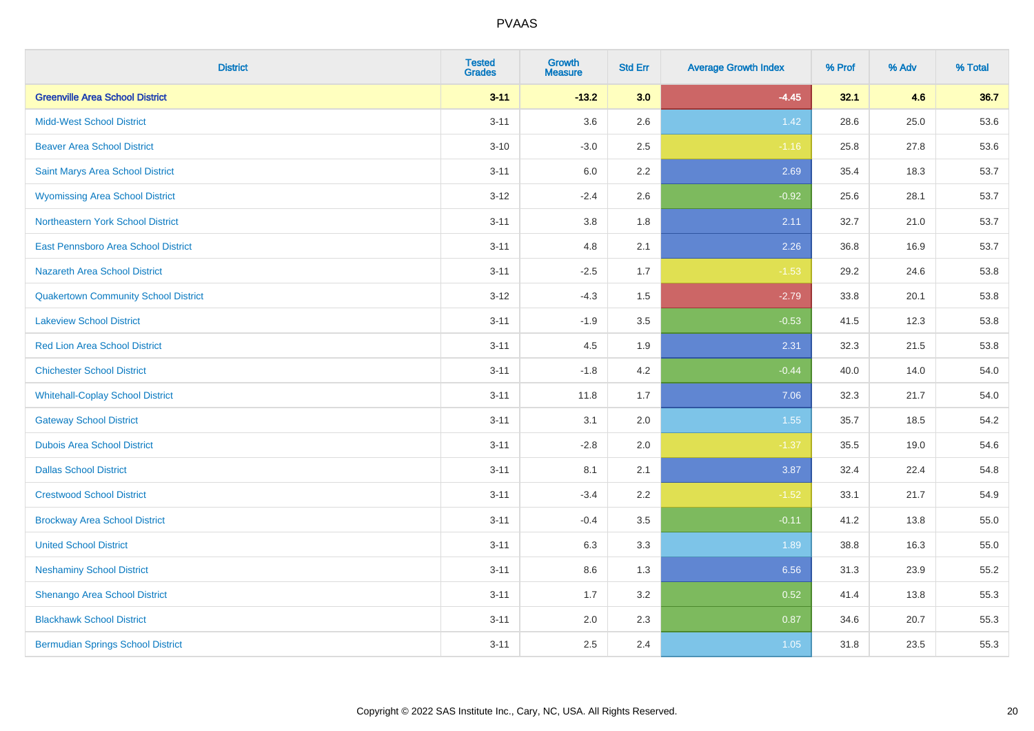| <b>District</b>                             | <b>Tested</b><br><b>Grades</b> | <b>Growth</b><br><b>Measure</b> | <b>Std Err</b> | <b>Average Growth Index</b> | % Prof | % Adv | % Total |
|---------------------------------------------|--------------------------------|---------------------------------|----------------|-----------------------------|--------|-------|---------|
| <b>Greenville Area School District</b>      | $3 - 11$                       | $-13.2$                         | 3.0            | $-4.45$                     | 32.1   | 4.6   | 36.7    |
| <b>Midd-West School District</b>            | $3 - 11$                       | 3.6                             | 2.6            | 1.42                        | 28.6   | 25.0  | 53.6    |
| <b>Beaver Area School District</b>          | $3 - 10$                       | $-3.0$                          | 2.5            | $-1.16$                     | 25.8   | 27.8  | 53.6    |
| Saint Marys Area School District            | $3 - 11$                       | 6.0                             | 2.2            | 2.69                        | 35.4   | 18.3  | 53.7    |
| <b>Wyomissing Area School District</b>      | $3-12$                         | $-2.4$                          | 2.6            | $-0.92$                     | 25.6   | 28.1  | 53.7    |
| Northeastern York School District           | $3 - 11$                       | 3.8                             | 1.8            | 2.11                        | 32.7   | 21.0  | 53.7    |
| East Pennsboro Area School District         | $3 - 11$                       | 4.8                             | 2.1            | 2.26                        | 36.8   | 16.9  | 53.7    |
| <b>Nazareth Area School District</b>        | $3 - 11$                       | $-2.5$                          | 1.7            | $-1.53$                     | 29.2   | 24.6  | 53.8    |
| <b>Quakertown Community School District</b> | $3-12$                         | $-4.3$                          | 1.5            | $-2.79$                     | 33.8   | 20.1  | 53.8    |
| <b>Lakeview School District</b>             | $3 - 11$                       | $-1.9$                          | 3.5            | $-0.53$                     | 41.5   | 12.3  | 53.8    |
| <b>Red Lion Area School District</b>        | $3 - 11$                       | 4.5                             | 1.9            | 2.31                        | 32.3   | 21.5  | 53.8    |
| <b>Chichester School District</b>           | $3 - 11$                       | $-1.8$                          | 4.2            | $-0.44$                     | 40.0   | 14.0  | 54.0    |
| <b>Whitehall-Coplay School District</b>     | $3 - 11$                       | 11.8                            | 1.7            | 7.06                        | 32.3   | 21.7  | 54.0    |
| <b>Gateway School District</b>              | $3 - 11$                       | 3.1                             | 2.0            | 1.55                        | 35.7   | 18.5  | 54.2    |
| <b>Dubois Area School District</b>          | $3 - 11$                       | $-2.8$                          | 2.0            | $-1.37$                     | 35.5   | 19.0  | 54.6    |
| <b>Dallas School District</b>               | $3 - 11$                       | 8.1                             | 2.1            | 3.87                        | 32.4   | 22.4  | 54.8    |
| <b>Crestwood School District</b>            | $3 - 11$                       | $-3.4$                          | 2.2            | $-1.52$                     | 33.1   | 21.7  | 54.9    |
| <b>Brockway Area School District</b>        | $3 - 11$                       | $-0.4$                          | 3.5            | $-0.11$                     | 41.2   | 13.8  | 55.0    |
| <b>United School District</b>               | $3 - 11$                       | 6.3                             | 3.3            | 1.89                        | 38.8   | 16.3  | 55.0    |
| <b>Neshaminy School District</b>            | $3 - 11$                       | 8.6                             | 1.3            | 6.56                        | 31.3   | 23.9  | 55.2    |
| Shenango Area School District               | $3 - 11$                       | 1.7                             | 3.2            | 0.52                        | 41.4   | 13.8  | 55.3    |
| <b>Blackhawk School District</b>            | $3 - 11$                       | 2.0                             | 2.3            | 0.87                        | 34.6   | 20.7  | 55.3    |
| <b>Bermudian Springs School District</b>    | $3 - 11$                       | 2.5                             | 2.4            | 1.05                        | 31.8   | 23.5  | 55.3    |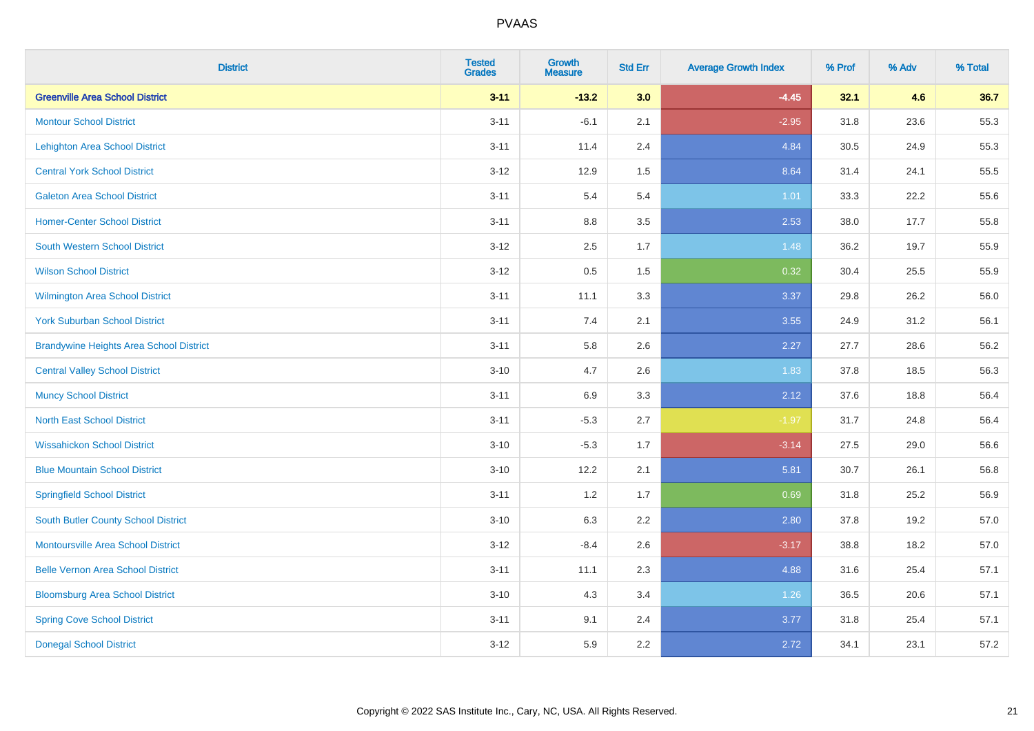| <b>District</b>                                | <b>Tested</b><br><b>Grades</b> | <b>Growth</b><br><b>Measure</b> | <b>Std Err</b> | <b>Average Growth Index</b> | % Prof | % Adv | % Total |
|------------------------------------------------|--------------------------------|---------------------------------|----------------|-----------------------------|--------|-------|---------|
| <b>Greenville Area School District</b>         | $3 - 11$                       | $-13.2$                         | 3.0            | $-4.45$                     | 32.1   | 4.6   | 36.7    |
| <b>Montour School District</b>                 | $3 - 11$                       | $-6.1$                          | 2.1            | $-2.95$                     | 31.8   | 23.6  | 55.3    |
| <b>Lehighton Area School District</b>          | $3 - 11$                       | 11.4                            | 2.4            | 4.84                        | 30.5   | 24.9  | 55.3    |
| <b>Central York School District</b>            | $3 - 12$                       | 12.9                            | 1.5            | 8.64                        | 31.4   | 24.1  | 55.5    |
| <b>Galeton Area School District</b>            | $3 - 11$                       | 5.4                             | 5.4            | 1.01                        | 33.3   | 22.2  | 55.6    |
| <b>Homer-Center School District</b>            | $3 - 11$                       | 8.8                             | 3.5            | 2.53                        | 38.0   | 17.7  | 55.8    |
| South Western School District                  | $3 - 12$                       | 2.5                             | 1.7            | 1.48                        | 36.2   | 19.7  | 55.9    |
| <b>Wilson School District</b>                  | $3 - 12$                       | 0.5                             | 1.5            | 0.32                        | 30.4   | 25.5  | 55.9    |
| Wilmington Area School District                | $3 - 11$                       | 11.1                            | 3.3            | 3.37                        | 29.8   | 26.2  | 56.0    |
| <b>York Suburban School District</b>           | $3 - 11$                       | 7.4                             | 2.1            | 3.55                        | 24.9   | 31.2  | 56.1    |
| <b>Brandywine Heights Area School District</b> | $3 - 11$                       | 5.8                             | 2.6            | 2.27                        | 27.7   | 28.6  | 56.2    |
| <b>Central Valley School District</b>          | $3 - 10$                       | 4.7                             | 2.6            | 1.83                        | 37.8   | 18.5  | 56.3    |
| <b>Muncy School District</b>                   | $3 - 11$                       | 6.9                             | 3.3            | 2.12                        | 37.6   | 18.8  | 56.4    |
| <b>North East School District</b>              | $3 - 11$                       | $-5.3$                          | 2.7            | $-1.97$                     | 31.7   | 24.8  | 56.4    |
| <b>Wissahickon School District</b>             | $3 - 10$                       | $-5.3$                          | 1.7            | $-3.14$                     | 27.5   | 29.0  | 56.6    |
| <b>Blue Mountain School District</b>           | $3 - 10$                       | 12.2                            | 2.1            | 5.81                        | 30.7   | 26.1  | 56.8    |
| <b>Springfield School District</b>             | $3 - 11$                       | $1.2\,$                         | 1.7            | 0.69                        | 31.8   | 25.2  | 56.9    |
| <b>South Butler County School District</b>     | $3 - 10$                       | 6.3                             | 2.2            | 2.80                        | 37.8   | 19.2  | 57.0    |
| <b>Montoursville Area School District</b>      | $3 - 12$                       | $-8.4$                          | 2.6            | $-3.17$                     | 38.8   | 18.2  | 57.0    |
| <b>Belle Vernon Area School District</b>       | $3 - 11$                       | 11.1                            | 2.3            | 4.88                        | 31.6   | 25.4  | 57.1    |
| <b>Bloomsburg Area School District</b>         | $3 - 10$                       | 4.3                             | 3.4            | 1.26                        | 36.5   | 20.6  | 57.1    |
| <b>Spring Cove School District</b>             | $3 - 11$                       | 9.1                             | 2.4            | 3.77                        | 31.8   | 25.4  | 57.1    |
| <b>Donegal School District</b>                 | $3 - 12$                       | 5.9                             | 2.2            | 2.72                        | 34.1   | 23.1  | 57.2    |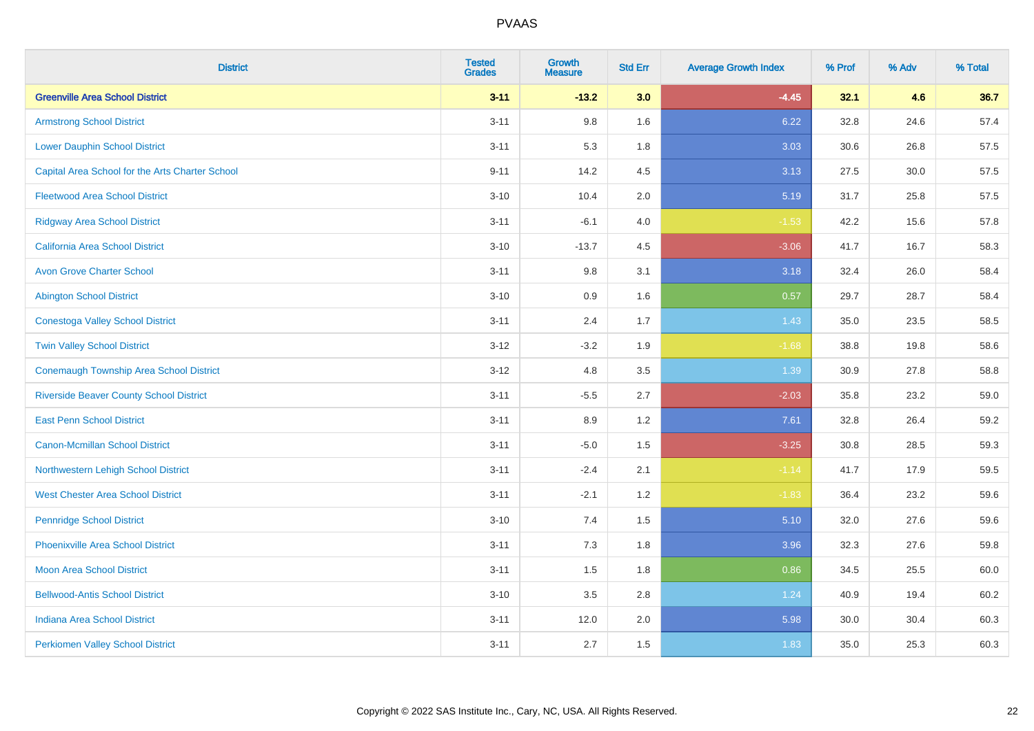| <b>District</b>                                 | <b>Tested</b><br><b>Grades</b> | <b>Growth</b><br><b>Measure</b> | <b>Std Err</b> | <b>Average Growth Index</b> | % Prof | % Adv    | % Total |
|-------------------------------------------------|--------------------------------|---------------------------------|----------------|-----------------------------|--------|----------|---------|
| <b>Greenville Area School District</b>          | $3 - 11$                       | $-13.2$                         | 3.0            | $-4.45$                     | 32.1   | 4.6      | 36.7    |
| <b>Armstrong School District</b>                | $3 - 11$                       | 9.8                             | 1.6            | 6.22                        | 32.8   | 24.6     | 57.4    |
| <b>Lower Dauphin School District</b>            | $3 - 11$                       | 5.3                             | 1.8            | 3.03                        | 30.6   | 26.8     | 57.5    |
| Capital Area School for the Arts Charter School | $9 - 11$                       | 14.2                            | 4.5            | 3.13                        | 27.5   | $30.0\,$ | 57.5    |
| <b>Fleetwood Area School District</b>           | $3 - 10$                       | 10.4                            | 2.0            | 5.19                        | 31.7   | 25.8     | 57.5    |
| <b>Ridgway Area School District</b>             | $3 - 11$                       | $-6.1$                          | 4.0            | $-1.53$                     | 42.2   | 15.6     | 57.8    |
| California Area School District                 | $3 - 10$                       | $-13.7$                         | 4.5            | $-3.06$                     | 41.7   | 16.7     | 58.3    |
| <b>Avon Grove Charter School</b>                | $3 - 11$                       | 9.8                             | 3.1            | 3.18                        | 32.4   | 26.0     | 58.4    |
| <b>Abington School District</b>                 | $3 - 10$                       | 0.9                             | 1.6            | 0.57                        | 29.7   | 28.7     | 58.4    |
| <b>Conestoga Valley School District</b>         | $3 - 11$                       | 2.4                             | 1.7            | 1.43                        | 35.0   | 23.5     | 58.5    |
| <b>Twin Valley School District</b>              | $3 - 12$                       | $-3.2$                          | 1.9            | $-1.68$                     | 38.8   | 19.8     | 58.6    |
| <b>Conemaugh Township Area School District</b>  | $3 - 12$                       | 4.8                             | 3.5            | 1.39                        | 30.9   | 27.8     | 58.8    |
| <b>Riverside Beaver County School District</b>  | $3 - 11$                       | $-5.5$                          | 2.7            | $-2.03$                     | 35.8   | 23.2     | 59.0    |
| <b>East Penn School District</b>                | $3 - 11$                       | 8.9                             | 1.2            | 7.61                        | 32.8   | 26.4     | 59.2    |
| <b>Canon-Mcmillan School District</b>           | $3 - 11$                       | $-5.0$                          | 1.5            | $-3.25$                     | 30.8   | 28.5     | 59.3    |
| Northwestern Lehigh School District             | $3 - 11$                       | $-2.4$                          | 2.1            | $-1.14$                     | 41.7   | 17.9     | 59.5    |
| <b>West Chester Area School District</b>        | $3 - 11$                       | $-2.1$                          | 1.2            | $-1.83$                     | 36.4   | 23.2     | 59.6    |
| <b>Pennridge School District</b>                | $3 - 10$                       | 7.4                             | 1.5            | 5.10                        | 32.0   | 27.6     | 59.6    |
| <b>Phoenixville Area School District</b>        | $3 - 11$                       | 7.3                             | 1.8            | 3.96                        | 32.3   | 27.6     | 59.8    |
| <b>Moon Area School District</b>                | $3 - 11$                       | 1.5                             | 1.8            | 0.86                        | 34.5   | 25.5     | 60.0    |
| <b>Bellwood-Antis School District</b>           | $3 - 10$                       | 3.5                             | 2.8            | 1.24                        | 40.9   | 19.4     | 60.2    |
| <b>Indiana Area School District</b>             | $3 - 11$                       | 12.0                            | 2.0            | 5.98                        | 30.0   | 30.4     | 60.3    |
| <b>Perkiomen Valley School District</b>         | $3 - 11$                       | 2.7                             | 1.5            | 1.83                        | 35.0   | 25.3     | 60.3    |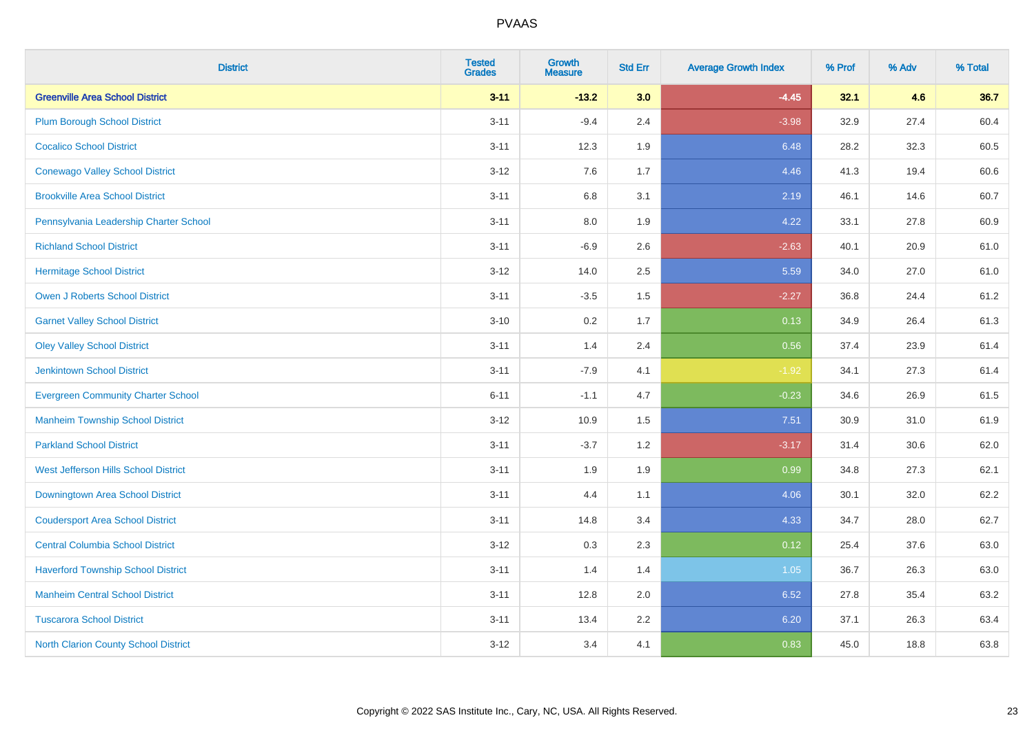| <b>District</b>                             | <b>Tested</b><br><b>Grades</b> | <b>Growth</b><br><b>Measure</b> | <b>Std Err</b> | <b>Average Growth Index</b> | % Prof | % Adv | % Total |
|---------------------------------------------|--------------------------------|---------------------------------|----------------|-----------------------------|--------|-------|---------|
| <b>Greenville Area School District</b>      | $3 - 11$                       | $-13.2$                         | 3.0            | $-4.45$                     | 32.1   | 4.6   | 36.7    |
| <b>Plum Borough School District</b>         | $3 - 11$                       | $-9.4$                          | 2.4            | $-3.98$                     | 32.9   | 27.4  | 60.4    |
| <b>Cocalico School District</b>             | $3 - 11$                       | 12.3                            | 1.9            | 6.48                        | 28.2   | 32.3  | 60.5    |
| <b>Conewago Valley School District</b>      | $3-12$                         | 7.6                             | 1.7            | 4.46                        | 41.3   | 19.4  | 60.6    |
| <b>Brookville Area School District</b>      | $3 - 11$                       | 6.8                             | 3.1            | 2.19                        | 46.1   | 14.6  | 60.7    |
| Pennsylvania Leadership Charter School      | $3 - 11$                       | 8.0                             | 1.9            | 4.22                        | 33.1   | 27.8  | 60.9    |
| <b>Richland School District</b>             | $3 - 11$                       | $-6.9$                          | 2.6            | $-2.63$                     | 40.1   | 20.9  | 61.0    |
| <b>Hermitage School District</b>            | $3-12$                         | 14.0                            | 2.5            | 5.59                        | 34.0   | 27.0  | 61.0    |
| <b>Owen J Roberts School District</b>       | $3 - 11$                       | $-3.5$                          | 1.5            | $-2.27$                     | 36.8   | 24.4  | 61.2    |
| <b>Garnet Valley School District</b>        | $3 - 10$                       | 0.2                             | 1.7            | 0.13                        | 34.9   | 26.4  | 61.3    |
| <b>Oley Valley School District</b>          | $3 - 11$                       | 1.4                             | 2.4            | 0.56                        | 37.4   | 23.9  | 61.4    |
| <b>Jenkintown School District</b>           | $3 - 11$                       | $-7.9$                          | 4.1            | $-1.92$                     | 34.1   | 27.3  | 61.4    |
| <b>Evergreen Community Charter School</b>   | $6 - 11$                       | $-1.1$                          | 4.7            | $-0.23$                     | 34.6   | 26.9  | 61.5    |
| <b>Manheim Township School District</b>     | $3 - 12$                       | 10.9                            | 1.5            | 7.51                        | 30.9   | 31.0  | 61.9    |
| <b>Parkland School District</b>             | $3 - 11$                       | $-3.7$                          | 1.2            | $-3.17$                     | 31.4   | 30.6  | 62.0    |
| West Jefferson Hills School District        | $3 - 11$                       | 1.9                             | 1.9            | 0.99                        | 34.8   | 27.3  | 62.1    |
| <b>Downingtown Area School District</b>     | $3 - 11$                       | 4.4                             | 1.1            | 4.06                        | 30.1   | 32.0  | 62.2    |
| <b>Coudersport Area School District</b>     | $3 - 11$                       | 14.8                            | 3.4            | 4.33                        | 34.7   | 28.0  | 62.7    |
| <b>Central Columbia School District</b>     | $3-12$                         | 0.3                             | 2.3            | 0.12                        | 25.4   | 37.6  | 63.0    |
| <b>Haverford Township School District</b>   | $3 - 11$                       | 1.4                             | 1.4            | 1.05                        | 36.7   | 26.3  | 63.0    |
| <b>Manheim Central School District</b>      | $3 - 11$                       | 12.8                            | 2.0            | 6.52                        | 27.8   | 35.4  | 63.2    |
| <b>Tuscarora School District</b>            | $3 - 11$                       | 13.4                            | 2.2            | 6.20                        | 37.1   | 26.3  | 63.4    |
| <b>North Clarion County School District</b> | $3 - 12$                       | 3.4                             | 4.1            | 0.83                        | 45.0   | 18.8  | 63.8    |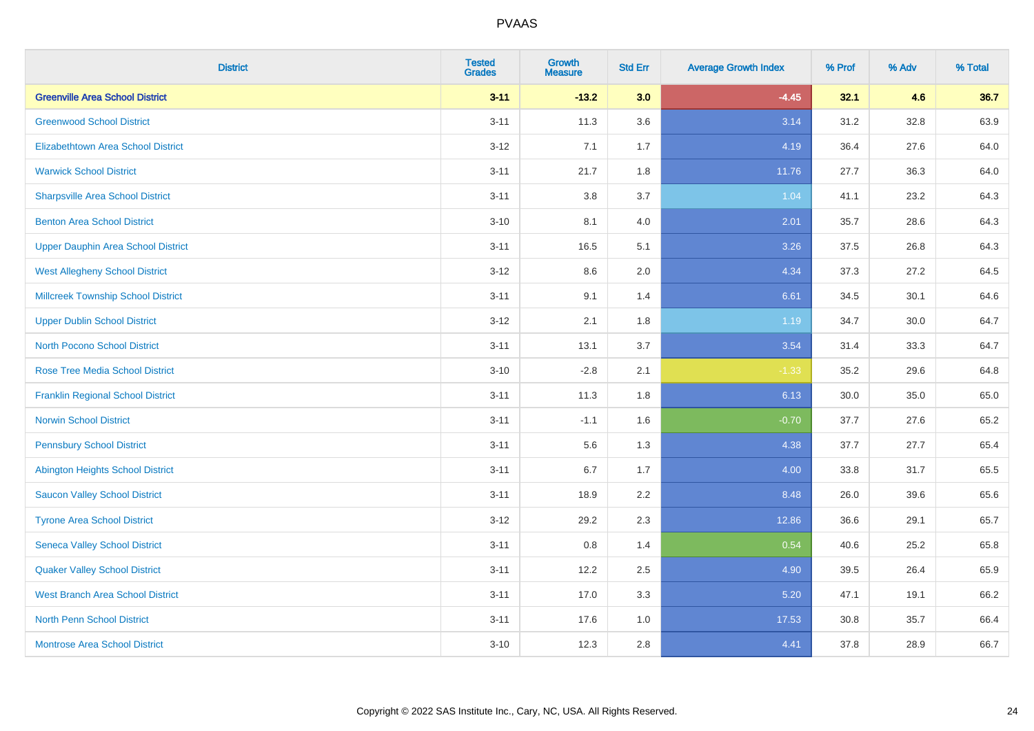| <b>District</b>                           | <b>Tested</b><br><b>Grades</b> | <b>Growth</b><br><b>Measure</b> | <b>Std Err</b> | <b>Average Growth Index</b> | % Prof | % Adv | % Total |
|-------------------------------------------|--------------------------------|---------------------------------|----------------|-----------------------------|--------|-------|---------|
| <b>Greenville Area School District</b>    | $3 - 11$                       | $-13.2$                         | 3.0            | $-4.45$                     | 32.1   | 4.6   | 36.7    |
| <b>Greenwood School District</b>          | $3 - 11$                       | 11.3                            | 3.6            | 3.14                        | 31.2   | 32.8  | 63.9    |
| <b>Elizabethtown Area School District</b> | $3 - 12$                       | 7.1                             | 1.7            | 4.19                        | 36.4   | 27.6  | 64.0    |
| <b>Warwick School District</b>            | $3 - 11$                       | 21.7                            | 1.8            | 11.76                       | 27.7   | 36.3  | 64.0    |
| <b>Sharpsville Area School District</b>   | $3 - 11$                       | 3.8                             | 3.7            | 1.04                        | 41.1   | 23.2  | 64.3    |
| <b>Benton Area School District</b>        | $3 - 10$                       | 8.1                             | 4.0            | 2.01                        | 35.7   | 28.6  | 64.3    |
| <b>Upper Dauphin Area School District</b> | $3 - 11$                       | 16.5                            | 5.1            | 3.26                        | 37.5   | 26.8  | 64.3    |
| <b>West Allegheny School District</b>     | $3 - 12$                       | 8.6                             | 2.0            | 4.34                        | 37.3   | 27.2  | 64.5    |
| <b>Millcreek Township School District</b> | $3 - 11$                       | 9.1                             | 1.4            | 6.61                        | 34.5   | 30.1  | 64.6    |
| <b>Upper Dublin School District</b>       | $3 - 12$                       | 2.1                             | 1.8            | 1.19                        | 34.7   | 30.0  | 64.7    |
| <b>North Pocono School District</b>       | $3 - 11$                       | 13.1                            | 3.7            | 3.54                        | 31.4   | 33.3  | 64.7    |
| <b>Rose Tree Media School District</b>    | $3 - 10$                       | $-2.8$                          | 2.1            | $-1.33$                     | 35.2   | 29.6  | 64.8    |
| <b>Franklin Regional School District</b>  | $3 - 11$                       | 11.3                            | 1.8            | 6.13                        | 30.0   | 35.0  | 65.0    |
| <b>Norwin School District</b>             | $3 - 11$                       | $-1.1$                          | 1.6            | $-0.70$                     | 37.7   | 27.6  | 65.2    |
| <b>Pennsbury School District</b>          | $3 - 11$                       | 5.6                             | 1.3            | 4.38                        | 37.7   | 27.7  | 65.4    |
| <b>Abington Heights School District</b>   | $3 - 11$                       | 6.7                             | 1.7            | 4.00                        | 33.8   | 31.7  | 65.5    |
| <b>Saucon Valley School District</b>      | $3 - 11$                       | 18.9                            | 2.2            | 8.48                        | 26.0   | 39.6  | 65.6    |
| <b>Tyrone Area School District</b>        | $3 - 12$                       | 29.2                            | 2.3            | 12.86                       | 36.6   | 29.1  | 65.7    |
| <b>Seneca Valley School District</b>      | $3 - 11$                       | 0.8                             | 1.4            | 0.54                        | 40.6   | 25.2  | 65.8    |
| <b>Quaker Valley School District</b>      | $3 - 11$                       | 12.2                            | 2.5            | 4.90                        | 39.5   | 26.4  | 65.9    |
| <b>West Branch Area School District</b>   | $3 - 11$                       | 17.0                            | 3.3            | 5.20                        | 47.1   | 19.1  | 66.2    |
| North Penn School District                | $3 - 11$                       | 17.6                            | 1.0            | 17.53                       | 30.8   | 35.7  | 66.4    |
| <b>Montrose Area School District</b>      | $3 - 10$                       | 12.3                            | 2.8            | 4.41                        | 37.8   | 28.9  | 66.7    |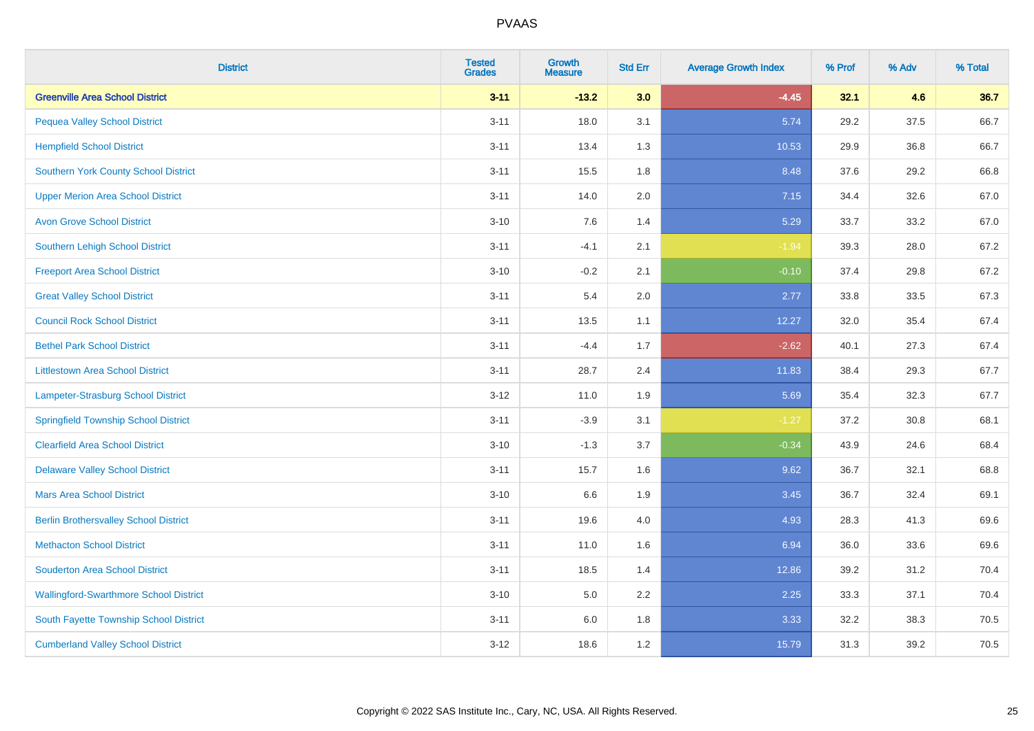| <b>District</b>                               | <b>Tested</b><br><b>Grades</b> | <b>Growth</b><br><b>Measure</b> | <b>Std Err</b> | <b>Average Growth Index</b> | % Prof | % Adv | % Total |
|-----------------------------------------------|--------------------------------|---------------------------------|----------------|-----------------------------|--------|-------|---------|
| <b>Greenville Area School District</b>        | $3 - 11$                       | $-13.2$                         | 3.0            | $-4.45$                     | 32.1   | 4.6   | 36.7    |
| <b>Pequea Valley School District</b>          | $3 - 11$                       | 18.0                            | 3.1            | 5.74                        | 29.2   | 37.5  | 66.7    |
| <b>Hempfield School District</b>              | $3 - 11$                       | 13.4                            | 1.3            | 10.53                       | 29.9   | 36.8  | 66.7    |
| Southern York County School District          | $3 - 11$                       | 15.5                            | 1.8            | 8.48                        | 37.6   | 29.2  | 66.8    |
| <b>Upper Merion Area School District</b>      | $3 - 11$                       | 14.0                            | 2.0            | 7.15                        | 34.4   | 32.6  | 67.0    |
| <b>Avon Grove School District</b>             | $3 - 10$                       | 7.6                             | 1.4            | 5.29                        | 33.7   | 33.2  | 67.0    |
| Southern Lehigh School District               | $3 - 11$                       | $-4.1$                          | 2.1            | $-1.94$                     | 39.3   | 28.0  | 67.2    |
| <b>Freeport Area School District</b>          | $3 - 10$                       | $-0.2$                          | 2.1            | $-0.10$                     | 37.4   | 29.8  | 67.2    |
| <b>Great Valley School District</b>           | $3 - 11$                       | 5.4                             | 2.0            | 2.77                        | 33.8   | 33.5  | 67.3    |
| <b>Council Rock School District</b>           | $3 - 11$                       | 13.5                            | 1.1            | 12.27                       | 32.0   | 35.4  | 67.4    |
| <b>Bethel Park School District</b>            | $3 - 11$                       | $-4.4$                          | 1.7            | $-2.62$                     | 40.1   | 27.3  | 67.4    |
| <b>Littlestown Area School District</b>       | $3 - 11$                       | 28.7                            | 2.4            | 11.83                       | 38.4   | 29.3  | 67.7    |
| Lampeter-Strasburg School District            | $3 - 12$                       | 11.0                            | 1.9            | 5.69                        | 35.4   | 32.3  | 67.7    |
| <b>Springfield Township School District</b>   | $3 - 11$                       | $-3.9$                          | 3.1            | $-1.27$                     | 37.2   | 30.8  | 68.1    |
| <b>Clearfield Area School District</b>        | $3 - 10$                       | $-1.3$                          | 3.7            | $-0.34$                     | 43.9   | 24.6  | 68.4    |
| <b>Delaware Valley School District</b>        | $3 - 11$                       | 15.7                            | 1.6            | 9.62                        | 36.7   | 32.1  | 68.8    |
| <b>Mars Area School District</b>              | $3 - 10$                       | 6.6                             | 1.9            | 3.45                        | 36.7   | 32.4  | 69.1    |
| <b>Berlin Brothersvalley School District</b>  | $3 - 11$                       | 19.6                            | 4.0            | 4.93                        | 28.3   | 41.3  | 69.6    |
| <b>Methacton School District</b>              | $3 - 11$                       | 11.0                            | 1.6            | 6.94                        | 36.0   | 33.6  | 69.6    |
| <b>Souderton Area School District</b>         | $3 - 11$                       | 18.5                            | 1.4            | 12.86                       | 39.2   | 31.2  | 70.4    |
| <b>Wallingford-Swarthmore School District</b> | $3 - 10$                       | 5.0                             | 2.2            | 2.25                        | 33.3   | 37.1  | 70.4    |
| South Fayette Township School District        | $3 - 11$                       | 6.0                             | 1.8            | 3.33                        | 32.2   | 38.3  | 70.5    |
| <b>Cumberland Valley School District</b>      | $3-12$                         | 18.6                            | 1.2            | 15.79                       | 31.3   | 39.2  | 70.5    |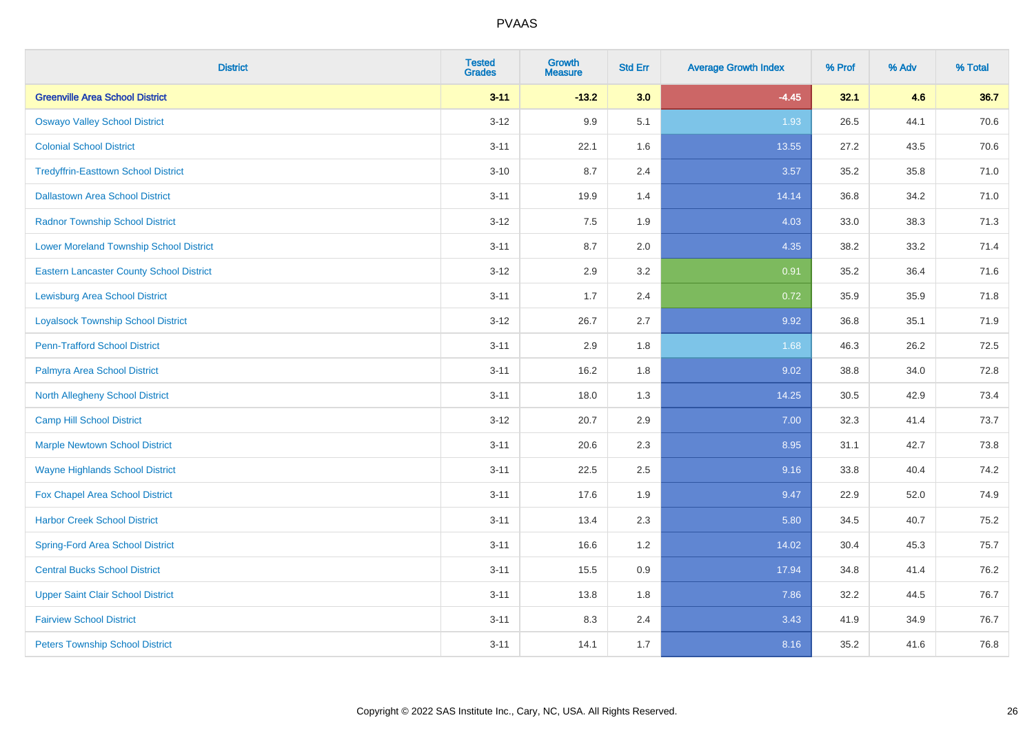| <b>District</b>                                 | <b>Tested</b><br><b>Grades</b> | <b>Growth</b><br><b>Measure</b> | <b>Std Err</b> | <b>Average Growth Index</b> | % Prof | % Adv | % Total |
|-------------------------------------------------|--------------------------------|---------------------------------|----------------|-----------------------------|--------|-------|---------|
| <b>Greenville Area School District</b>          | $3 - 11$                       | $-13.2$                         | 3.0            | $-4.45$                     | 32.1   | 4.6   | 36.7    |
| <b>Oswayo Valley School District</b>            | $3 - 12$                       | 9.9                             | 5.1            | 1.93                        | 26.5   | 44.1  | 70.6    |
| <b>Colonial School District</b>                 | $3 - 11$                       | 22.1                            | 1.6            | 13.55                       | 27.2   | 43.5  | 70.6    |
| <b>Tredyffrin-Easttown School District</b>      | $3 - 10$                       | 8.7                             | 2.4            | 3.57                        | 35.2   | 35.8  | 71.0    |
| <b>Dallastown Area School District</b>          | $3 - 11$                       | 19.9                            | 1.4            | 14.14                       | 36.8   | 34.2  | 71.0    |
| <b>Radnor Township School District</b>          | $3 - 12$                       | 7.5                             | 1.9            | 4.03                        | 33.0   | 38.3  | 71.3    |
| <b>Lower Moreland Township School District</b>  | $3 - 11$                       | 8.7                             | 2.0            | 4.35                        | 38.2   | 33.2  | 71.4    |
| <b>Eastern Lancaster County School District</b> | $3 - 12$                       | 2.9                             | 3.2            | 0.91                        | 35.2   | 36.4  | 71.6    |
| <b>Lewisburg Area School District</b>           | $3 - 11$                       | 1.7                             | 2.4            | 0.72                        | 35.9   | 35.9  | 71.8    |
| <b>Loyalsock Township School District</b>       | $3-12$                         | 26.7                            | 2.7            | 9.92                        | 36.8   | 35.1  | 71.9    |
| <b>Penn-Trafford School District</b>            | $3 - 11$                       | 2.9                             | 1.8            | 1.68                        | 46.3   | 26.2  | 72.5    |
| Palmyra Area School District                    | $3 - 11$                       | 16.2                            | 1.8            | 9.02                        | 38.8   | 34.0  | 72.8    |
| North Allegheny School District                 | $3 - 11$                       | 18.0                            | 1.3            | 14.25                       | 30.5   | 42.9  | 73.4    |
| <b>Camp Hill School District</b>                | $3 - 12$                       | 20.7                            | 2.9            | 7.00                        | 32.3   | 41.4  | 73.7    |
| <b>Marple Newtown School District</b>           | $3 - 11$                       | 20.6                            | 2.3            | 8.95                        | 31.1   | 42.7  | 73.8    |
| <b>Wayne Highlands School District</b>          | $3 - 11$                       | 22.5                            | 2.5            | 9.16                        | 33.8   | 40.4  | 74.2    |
| Fox Chapel Area School District                 | $3 - 11$                       | 17.6                            | 1.9            | 9.47                        | 22.9   | 52.0  | 74.9    |
| <b>Harbor Creek School District</b>             | $3 - 11$                       | 13.4                            | 2.3            | 5.80                        | 34.5   | 40.7  | 75.2    |
| <b>Spring-Ford Area School District</b>         | $3 - 11$                       | 16.6                            | 1.2            | 14.02                       | 30.4   | 45.3  | 75.7    |
| <b>Central Bucks School District</b>            | $3 - 11$                       | 15.5                            | 0.9            | 17.94                       | 34.8   | 41.4  | 76.2    |
| <b>Upper Saint Clair School District</b>        | $3 - 11$                       | 13.8                            | 1.8            | 7.86                        | 32.2   | 44.5  | 76.7    |
| <b>Fairview School District</b>                 | $3 - 11$                       | 8.3                             | 2.4            | 3.43                        | 41.9   | 34.9  | 76.7    |
| <b>Peters Township School District</b>          | $3 - 11$                       | 14.1                            | 1.7            | 8.16                        | 35.2   | 41.6  | 76.8    |